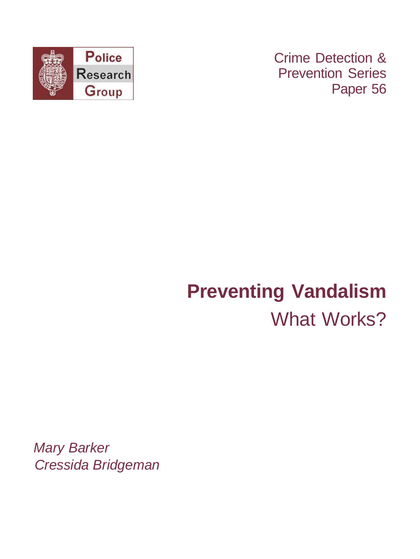

Crime Detection & Prevention Series Paper 56

# **Preventing Vandalism** What Works?

Mary Barker Cressida Bridgeman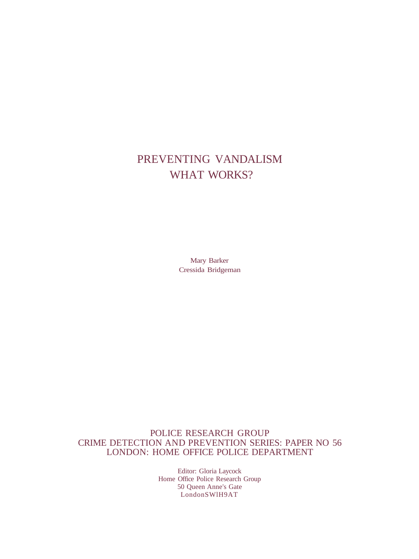### PREVENTING VANDALISM WHAT WORKS?

Mary Barker Cressida Bridgeman

POLICE RESEARCH GROUP CRIME DETECTION AND PREVENTION SERIES: PAPER NO 56 LONDON: HOME OFFICE POLICE DEPARTMENT

> Editor: Gloria Laycock Home Office Police Research Group 50 Queen Anne's Gate LondonSWlH9AT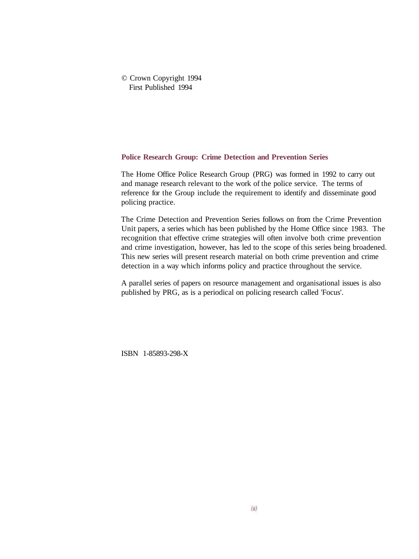#### © Crown Copyright 1994 First Published 1994

#### **Police Research Group: Crime Detection and Prevention Series**

The Home Office Police Research Group (PRG) was formed in 1992 to carry out and manage research relevant to the work of the police service. The terms of reference for the Group include the requirement to identify and disseminate good policing practice.

The Crime Detection and Prevention Series follows on from the Crime Prevention Unit papers, a series which has been published by the Home Office since 1983. The recognition that effective crime strategies will often involve both crime prevention and crime investigation, however, has led to the scope of this series being broadened. This new series will present research material on both crime prevention and crime detection in a way which informs policy and practice throughout the service.

A parallel series of papers on resource management and organisational issues is also published by PRG, as is a periodical on policing research called 'Focus'.

ISBN 1-85893-298-X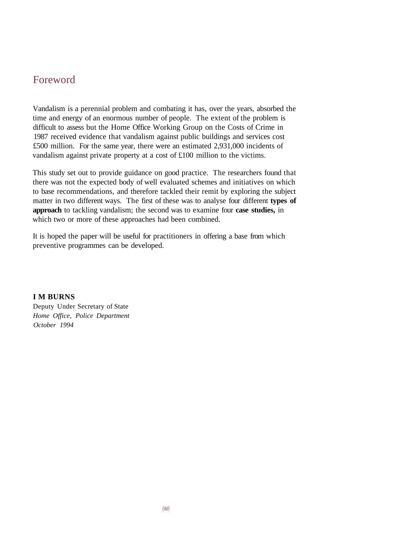### Foreword

Vandalism is a perennial problem and combating it has, over the years, absorbed the time and energy of an enormous number of people. The extent of the problem is difficult to assess but the Home Office Working Group on the Costs of Crime in 1987 received evidence that vandalism against public buildings and services cost £500 million. For the same year, there were an estimated 2,931,000 incidents of vandalism against private property at a cost of £100 million to the victims.

This study set out to provide guidance on good practice. The researchers found that there was not the expected body of well evaluated schemes and initiatives on which to base recommendations, and therefore tackled their remit by exploring the subject matter in two different ways. The first of these was to analyse four different **types of approach** to tackling vandalism; the second was to examine four **case studies,** in which two or more of these approaches had been combined.

It is hoped the paper will be useful for practitioners in offering a base from which preventive programmes can be developed.

**I M BURNS**

Deputy Under Secretary of State *Home Office, Police Department October 1994*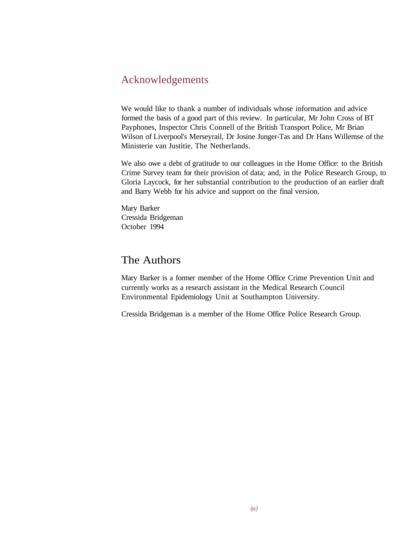### Acknowledgements

We would like to thank a number of individuals whose information and advice formed the basis of a good part of this review. In particular, Mr John Cross of BT Payphones, Inspector Chris Connell of the British Transport Police, Mr Brian Wilson of Liverpool's Merseyrail, Dr Josine Junger-Tas and Dr Hans Willemse of the Ministerie van Justitie, The Netherlands.

We also owe a debt of gratitude to our colleagues in the Home Office: to the British Crime Survey team for their provision of data; and, in the Police Research Group, to Gloria Laycock, for her substantial contribution to the production of an earlier draft and Barry Webb for his advice and support on the final version.

Mary Barker Cressida Bridgeman October 1994

### The Authors

Mary Barker is a former member of the Home Office Crime Prevention Unit and currently works as a research assistant in the Medical Research Council Environmental Epidemiology Unit at Southampton University.

Cressida Bridgeman is a member of the Home Office Police Research Group.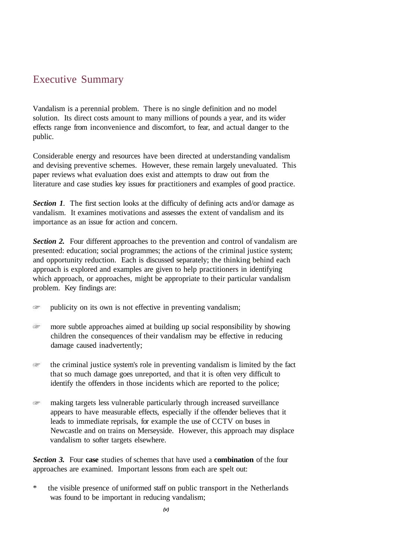### Executive Summary

Vandalism is a perennial problem. There is no single definition and no model solution. Its direct costs amount to many millions of pounds a year, and its wider effects range from inconvenience and discomfort, to fear, and actual danger to the public.

Considerable energy and resources have been directed at understanding vandalism and devising preventive schemes. However, these remain largely unevaluated. This paper reviews what evaluation does exist and attempts to draw out from the literature and case studies key issues for practitioners and examples of good practice.

*Section 1.* The first section looks at the difficulty of defining acts and/or damage as vandalism. It examines motivations and assesses the extent of vandalism and its importance as an issue for action and concern.

**Section 2.** Four different approaches to the prevention and control of vandalism are presented: education; social programmes; the actions of the criminal justice system; and opportunity reduction. Each is discussed separately; the thinking behind each approach is explored and examples are given to help practitioners in identifying which approach, or approaches, might be appropriate to their particular vandalism problem. Key findings are:

- 窗 publicity on its own is not effective in preventing vandalism;
- more subtle approaches aimed at building up social responsibility by showing ंडा children the consequences of their vandalism may be effective in reducing damage caused inadvertently;
- $\Rightarrow$ the criminal justice system's role in preventing vandalism is limited by the fact that so much damage goes unreported, and that it is often very difficult to identify the offenders in those incidents which are reported to the police;
- making targets less vulnerable particularly through increased surveillance ræ− appears to have measurable effects, especially if the offender believes that it leads to immediate reprisals, for example the use of CCTV on buses in Newcastle and on trains on Merseyside. However, this approach may displace vandalism to softer targets elsewhere.

*Section 3.* Four **case** studies of schemes that have used a **combination** of the four approaches are examined. Important lessons from each are spelt out:

the visible presence of uniformed staff on public transport in the Netherlands was found to be important in reducing vandalism;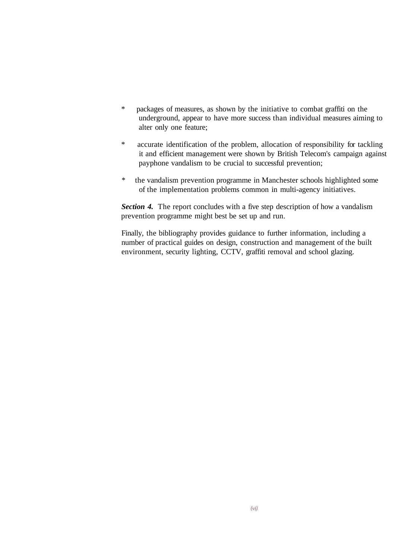- \* packages of measures, as shown by the initiative to combat graffiti on the underground, appear to have more success than individual measures aiming to alter only one feature;
- \* accurate identification of the problem, allocation of responsibility for tackling it and efficient management were shown by British Telecom's campaign against payphone vandalism to be crucial to successful prevention;
- *\** the vandalism prevention programme in Manchester schools highlighted some of the implementation problems common in multi-agency initiatives.

**Section 4.** The report concludes with a five step description of how a vandalism prevention programme might best be set up and run.

Finally, the bibliography provides guidance to further information, including a number of practical guides on design, construction and management of the built environment, security lighting, CCTV, graffiti removal and school glazing.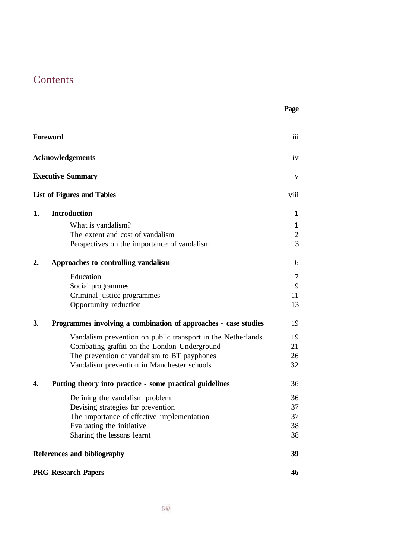### **Contents**

|    | <b>Foreword</b>                                                 | iii        |
|----|-----------------------------------------------------------------|------------|
|    | <b>Acknowledgements</b>                                         | iv         |
|    | <b>Executive Summary</b>                                        | V          |
|    | <b>List of Figures and Tables</b>                               | viii       |
| 1. | <b>Introduction</b>                                             | 1          |
|    | What is vandalism?                                              | 1          |
|    | The extent and cost of vandalism                                | $\sqrt{2}$ |
|    | Perspectives on the importance of vandalism                     | 3          |
| 2. | Approaches to controlling vandalism                             | 6          |
|    | Education                                                       | 7          |
|    | Social programmes                                               | 9          |
|    | Criminal justice programmes                                     | 11         |
|    | Opportunity reduction                                           | 13         |
| 3. | Programmes involving a combination of approaches - case studies | 19         |
|    | Vandalism prevention on public transport in the Netherlands     | 19         |
|    | Combating graffiti on the London Underground                    | 21         |
|    | The prevention of vandalism to BT payphones                     | 26         |
|    | Vandalism prevention in Manchester schools                      | 32         |
| 4. | Putting theory into practice - some practical guidelines        | 36         |
|    | Defining the vandalism problem                                  | 36         |
|    | Devising strategies for prevention                              | 37         |
|    | The importance of effective implementation                      | 37         |

Evaluating the initiative 38 Sharing the lessons learnt 38

**Page**

**References and bibliography 39**

**PRG Research Papers 46**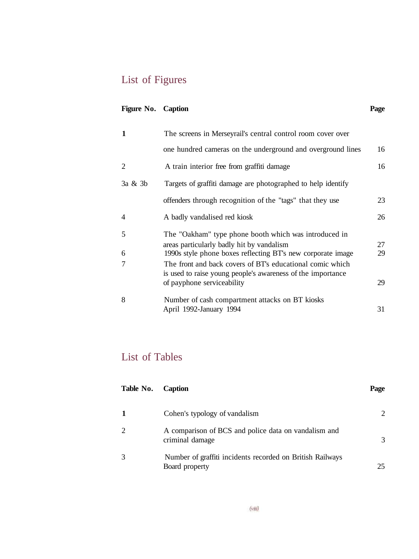## List of Figures

### **Figure No.** Caption Page

| 1              | The screens in Merseyrail's central control room cover over                                                              |    |  |
|----------------|--------------------------------------------------------------------------------------------------------------------------|----|--|
|                | one hundred cameras on the underground and overground lines                                                              | 16 |  |
| $\mathfrak{D}$ | A train interior free from graffiti damage                                                                               | 16 |  |
| $3a \& 3b$     | Targets of graffiti damage are photographed to help identify                                                             |    |  |
|                | offenders through recognition of the "tags" that they use                                                                | 23 |  |
| $\overline{4}$ | A badly vandalised red kiosk                                                                                             | 26 |  |
| 5              | The "Oakham" type phone booth which was introduced in<br>areas particularly badly hit by vandalism                       | 27 |  |
| 6              | 1990s style phone boxes reflecting BT's new corporate image                                                              | 29 |  |
| 7              | The front and back covers of BT's educational comic which<br>is used to raise young people's awareness of the importance |    |  |
|                | of payphone serviceability                                                                                               | 29 |  |
| 8              | Number of cash compartment attacks on BT kiosks                                                                          |    |  |
|                | April 1992-January 1994                                                                                                  | 31 |  |

### List of Tables

| Table No.      | <b>Caption</b>                                                              | Page                        |
|----------------|-----------------------------------------------------------------------------|-----------------------------|
| $\mathbf{1}$   | Cohen's typology of vandalism                                               | $\mathcal{D}_{\mathcal{L}}$ |
| $\mathfrak{D}$ | A comparison of BCS and police data on vandalism and<br>criminal damage     | 3                           |
| 3              | Number of graffiti incidents recorded on British Railways<br>Board property | 25                          |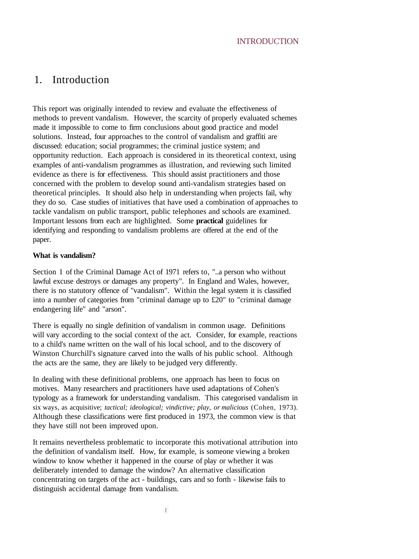#### INTRODUCTION

### 1. Introduction

This report was originally intended to review and evaluate the effectiveness of methods to prevent vandalism. However, the scarcity of properly evaluated schemes made it impossible to come to firm conclusions about good practice and model solutions. Instead, four approaches to the control of vandalism and graffiti are discussed: education; social programmes; the criminal justice system; and opportunity reduction. Each approach is considered in its theoretical context, using examples of anti-vandalism programmes as illustration, and reviewing such limited evidence as there is for effectiveness. This should assist practitioners and those concerned with the problem to develop sound anti-vandalism strategies based on theoretical principles. It should also help in understanding when projects fail, why they do so. Case studies of initiatives that have used a combination of approaches to tackle vandalism on public transport, public telephones and schools are examined. Important lessons from each are highlighted. Some **practical** guidelines for identifying and responding to vandalism problems are offered at the end of the paper.

#### **What is vandalism?**

Section 1 of the Criminal Damage Act of 1971 refers to, "..a person who without lawful excuse destroys or damages any property". In England and Wales, however, there is no statutory offence of "vandalism". Within the legal system it is classified into a number of categories from "criminal damage up to £20" to "criminal damage endangering life" and "arson".

There is equally no single definition of vandalism in common usage. Definitions will vary according to the social context of the act. Consider, for example, reactions to a child's name written on the wall of his local school, and to the discovery of Winston Churchill's signature carved into the walls of his public school. Although the acts are the same, they are likely to be judged very differently.

In dealing with these definitional problems, one approach has been to focus on motives. Many researchers and practitioners have used adaptations of Cohen's typology as a framework for understanding vandalism. This categorised vandalism in six ways, as acquisitive; *tactical; ideological; vindictive; play, or malicious* (Cohen, 1973). Although these classifications were first produced in 1973, the common view is that they have still not been improved upon.

It remains nevertheless problematic to incorporate this motivational attribution into the definition of vandalism itself. How, for example, is someone viewing a broken window to know whether it happened in the course of play or whether it was deliberately intended to damage the window? An alternative classification concentrating on targets of the act - buildings, cars and so forth - likewise fails to distinguish accidental damage from vandalism.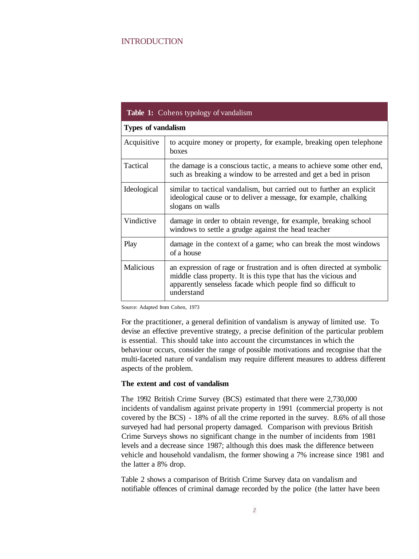#### INTRODUCTION

|                  | <b>Table 1:</b> Cohens typology of vandalism                                                                                                                                                                             |  |  |  |
|------------------|--------------------------------------------------------------------------------------------------------------------------------------------------------------------------------------------------------------------------|--|--|--|
|                  | <b>Types of vandalism</b>                                                                                                                                                                                                |  |  |  |
| Acquisitive      | to acquire money or property, for example, breaking open telephone<br>boxes                                                                                                                                              |  |  |  |
| Tactical         | the damage is a conscious tactic, a means to achieve some other end,<br>such as breaking a window to be arrested and get a bed in prison                                                                                 |  |  |  |
| Ideological      | similar to tactical vandalism, but carried out to further an explicit<br>ideological cause or to deliver a message, for example, chalking<br>slogans on walls                                                            |  |  |  |
| Vindictive       | damage in order to obtain revenge, for example, breaking school<br>windows to settle a grudge against the head teacher                                                                                                   |  |  |  |
| Play             | damage in the context of a game; who can break the most windows<br>of a house                                                                                                                                            |  |  |  |
| <b>Malicious</b> | an expression of rage or frustration and is often directed at symbolic<br>middle class property. It is this type that has the vicious and<br>apparently senseless facade which people find so difficult to<br>understand |  |  |  |

Source: Adapted from Cohen, 1973

For the practitioner, a general definition of vandalism is anyway of limited use. To devise an effective preventive strategy, a precise definition of the particular problem is essential. This should take into account the circumstances in which the behaviour occurs, consider the range of possible motivations and recognise that the multi-faceted nature of vandalism may require different measures to address different aspects of the problem.

#### **The extent and cost of vandalism**

The 1992 British Crime Survey (BCS) estimated that there were 2,730,000 incidents of vandalism against private property in 1991 (commercial property is not covered by the BCS) - 18% of all the crime reported in the survey. 8.6% of all those surveyed had had personal property damaged. Comparison with previous British Crime Surveys shows no significant change in the number of incidents from 1981 levels and a decrease since 1987; although this does mask the difference between vehicle and household vandalism, the former showing a 7% increase since 1981 and the latter a 8% drop.

Table 2 shows a comparison of British Crime Survey data on vandalism and notifiable offences of criminal damage recorded by the police (the latter have been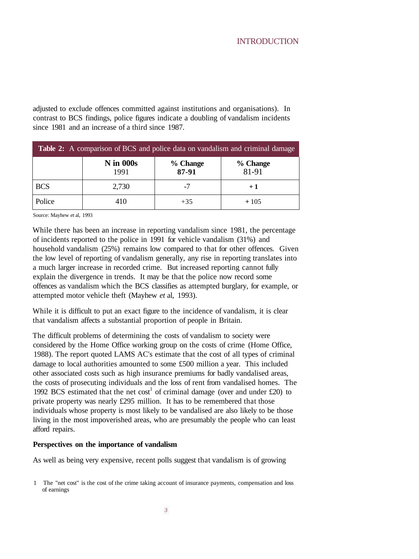adjusted to exclude offences committed against institutions and organisations). In contrast to BCS findings, police figures indicate a doubling of vandalism incidents since 1981 and an increase of a third since 1987.

| Table 2: A comparison of BCS and police data on vandalism and criminal damage |                          |                   |                   |
|-------------------------------------------------------------------------------|--------------------------|-------------------|-------------------|
|                                                                               | <b>N</b> in 000s<br>1991 | % Change<br>87-91 | % Change<br>81-91 |
| <b>BCS</b>                                                                    | 2.730                    | -7                | $+1$              |
| Police                                                                        | 410                      | $+35$             | $+105$            |

Source: Mayhew *et* al, 1993

While there has been an increase in reporting vandalism since 1981, the percentage of incidents reported to the police in 1991 for vehicle vandalism (31%) and household vandalism (25%) remains low compared to that for other offences. Given the low level of reporting of vandalism generally, any rise in reporting translates into a much larger increase in recorded crime. But increased reporting cannot fully explain the divergence in trends. It may be that the police now record some offences as vandalism which the BCS classifies as attempted burglary, for example, or attempted motor vehicle theft (Mayhew *et* al, 1993).

While it is difficult to put an exact figure to the incidence of vandalism, it is clear that vandalism affects a substantial proportion of people in Britain.

The difficult problems of determining the costs of vandalism to society were considered by the Home Office working group on the costs of crime (Home Office, 1988). The report quoted LAMS AC's estimate that the cost of all types of criminal damage to local authorities amounted to some £500 million a year. This included other associated costs such as high insurance premiums for badly vandalised areas, the costs of prosecuting individuals and the loss of rent from vandalised homes. The 1992 BCS estimated that the net cost<sup>1</sup> of criminal damage (over and under £20) to private property was nearly £295 million. It has to be remembered that those individuals whose property is most likely to be vandalised are also likely to be those living in the most impoverished areas, who are presumably the people who can least afford repairs.

#### **Perspectives on the importance of vandalism**

As well as being very expensive, recent polls suggest that vandalism is of growing

<sup>1</sup> The "net cost" is the cost of the crime taking account of insurance payments, compensation and loss of earnings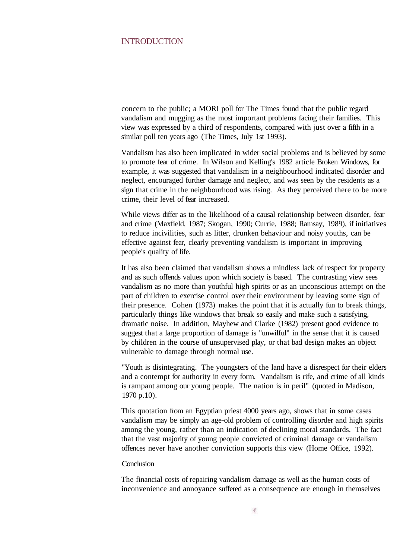#### INTRODUCTION

concern to the public; a MORI poll for The Times found that the public regard vandalism and mugging as the most important problems facing their families. This view was expressed by a third of respondents, compared with just over a fifth in a similar poll ten years ago (The Times, July 1st 1993).

Vandalism has also been implicated in wider social problems and is believed by some to promote fear of crime. In Wilson and Kelling's 1982 article Broken Windows, for example, it was suggested that vandalism in a neighbourhood indicated disorder and neglect, encouraged further damage and neglect, and was seen by the residents as a sign that crime in the neighbourhood was rising. As they perceived there to be more crime, their level of fear increased.

While views differ as to the likelihood of a causal relationship between disorder, fear and crime (Maxfield, 1987; Skogan, 1990; Currie, 1988; Ramsay, 1989), if initiatives to reduce incivilities, such as litter, drunken behaviour and noisy youths, can be effective against fear, clearly preventing vandalism is important in improving people's quality of life.

It has also been claimed that vandalism shows a mindless lack of respect for property and as such offends values upon which society is based. The contrasting view sees vandalism as no more than youthful high spirits or as an unconscious attempt on the part of children to exercise control over their environment by leaving some sign of their presence. Cohen (1973) makes the point that it is actually fun to break things, particularly things like windows that break so easily and make such a satisfying, dramatic noise. In addition, Mayhew and Clarke (1982) present good evidence to suggest that a large proportion of damage is "unwilful" in the sense that it is caused by children in the course of unsupervised play, or that bad design makes an object vulnerable to damage through normal use.

"Youth is disintegrating. The youngsters of the land have a disrespect for their elders and a contempt for authority in every form. Vandalism is rife, and crime of all kinds is rampant among our young people. The nation is in peril" (quoted in Madison, 1970 p.10).

This quotation from an Egyptian priest 4000 years ago, shows that in some cases vandalism may be simply an age-old problem of controlling disorder and high spirits among the young, rather than an indication of declining moral standards. The fact that the vast majority of young people convicted of criminal damage or vandalism offences never have another conviction supports this view (Home Office, 1992).

#### **Conclusion**

The financial costs of repairing vandalism damage as well as the human costs of inconvenience and annoyance suffered as a consequence are enough in themselves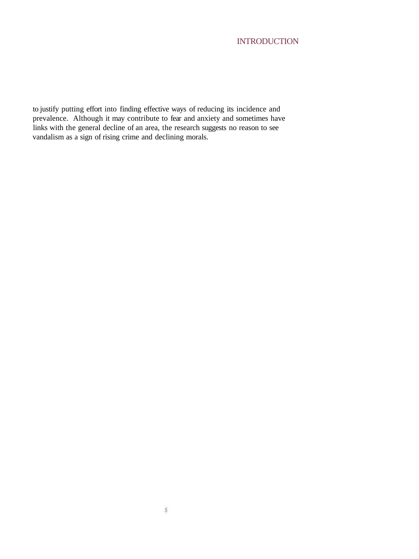### **INTRODUCTION**

to justify putting effort into finding effective ways of reducing its incidence and prevalence. Although it may contribute to fear and anxiety and sometimes have links with the general decline of an area, the research suggests no reason to see vandalism as a sign of rising crime and declining morals.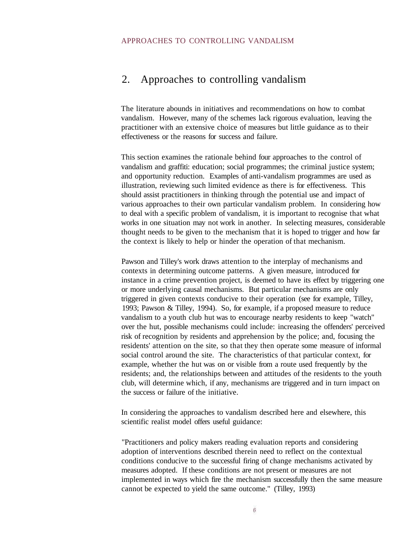### 2. Approaches to controlling vandalism

The literature abounds in initiatives and recommendations on how to combat vandalism. However, many of the schemes lack rigorous evaluation, leaving the practitioner with an extensive choice of measures but little guidance as to their effectiveness or the reasons for success and failure.

This section examines the rationale behind four approaches to the control of vandalism and graffiti: education; social programmes; the criminal justice system; and opportunity reduction. Examples of anti-vandalism programmes are used as illustration, reviewing such limited evidence as there is for effectiveness. This should assist practitioners in thinking through the potential use and impact of various approaches to their own particular vandalism problem. In considering how to deal with a specific problem of vandalism, it is important to recognise that what works in one situation may not work in another. In selecting measures, considerable thought needs to be given to the mechanism that it is hoped to trigger and how far the context is likely to help or hinder the operation of that mechanism.

Pawson and Tilley's work draws attention to the interplay of mechanisms and contexts in determining outcome patterns. A given measure, introduced for instance in a crime prevention project, is deemed to have its effect by triggering one or more underlying causal mechanisms. But particular mechanisms are only triggered in given contexts conducive to their operation (see for example, Tilley, 1993; Pawson & Tilley, 1994). So, for example, if a proposed measure to reduce vandalism to a youth club hut was to encourage nearby residents to keep "watch" over the hut, possible mechanisms could include: increasing the offenders' perceived risk of recognition by residents and apprehension by the police; and, focusing the residents' attention on the site, so that they then operate some measure of informal social control around the site. The characteristics of that particular context, for example, whether the hut was on or visible from a route used frequently by the residents; and, the relationships between and attitudes of the residents to the youth club, will determine which, if any, mechanisms are triggered and in turn impact on the success or failure of the initiative.

In considering the approaches to vandalism described here and elsewhere, this scientific realist model offers useful guidance:

"Practitioners and policy makers reading evaluation reports and considering adoption of interventions described therein need to reflect on the contextual conditions conducive to the successful firing of change mechanisms activated by measures adopted. If these conditions are not present or measures are not implemented in ways which fire the mechanism successfully then the same measure cannot be expected to yield the same outcome." (Tilley, 1993)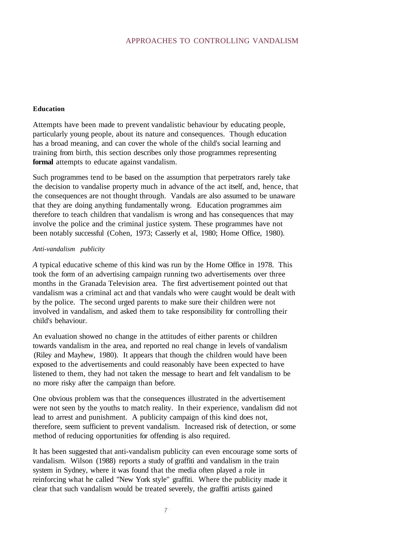#### **Education**

Attempts have been made to prevent vandalistic behaviour by educating people, particularly young people, about its nature and consequences. Though education has a broad meaning, and can cover the whole of the child's social learning and training from birth, this section describes only those programmes representing **formal** attempts to educate against vandalism.

Such programmes tend to be based on the assumption that perpetrators rarely take the decision to vandalise property much in advance of the act itself, and, hence, that the consequences are not thought through. Vandals are also assumed to be unaware that they are doing anything fundamentally wrong. Education programmes aim therefore to teach children that vandalism is wrong and has consequences that may involve the police and the criminal justice system. These programmes have not been notably successful (Cohen, 1973; Casserly et al, 1980; Home Office, 1980).

#### *Anti-vandalism publicity*

*A* typical educative scheme of this kind was run by the Home Office in 1978. This took the form of an advertising campaign running two advertisements over three months in the Granada Television area. The first advertisement pointed out that vandalism was a criminal act and that vandals who were caught would be dealt with by the police. The second urged parents to make sure their children were not involved in vandalism, and asked them to take responsibility for controlling their child's behaviour.

An evaluation showed no change in the attitudes of either parents or children towards vandalism in the area, and reported no real change in levels of vandalism (Riley and Mayhew, 1980). It appears that though the children would have been exposed to the advertisements and could reasonably have been expected to have listened to them, they had not taken the message to heart and felt vandalism to be no more risky after the campaign than before.

One obvious problem was that the consequences illustrated in the advertisement were not seen by the youths to match reality. In their experience, vandalism did not lead to arrest and punishment. A publicity campaign of this kind does not, therefore, seem sufficient to prevent vandalism. Increased risk of detection, or some method of reducing opportunities for offending is also required.

It has been suggested that anti-vandalism publicity can even encourage some sorts of vandalism. Wilson (1988) reports a study of graffiti and vandalism in the train system in Sydney, where it was found that the media often played a role in reinforcing what he called "New York style" graffiti. Where the publicity made it clear that such vandalism would be treated severely, the graffiti artists gained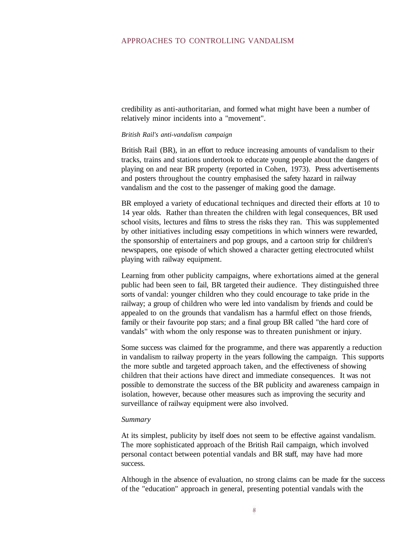credibility as anti-authoritarian, and formed what might have been a number of relatively minor incidents into a "movement".

#### *British Rail's anti-vandalism campaign*

British Rail (BR), in an effort to reduce increasing amounts of vandalism to their tracks, trains and stations undertook to educate young people about the dangers of playing on and near BR property (reported in Cohen, 1973). Press advertisements and posters throughout the country emphasised the safety hazard in railway vandalism and the cost to the passenger of making good the damage.

BR employed a variety of educational techniques and directed their efforts at 10 to 14 year olds. Rather than threaten the children with legal consequences, BR used school visits, lectures and films to stress the risks they ran. This was supplemented by other initiatives including essay competitions in which winners were rewarded, the sponsorship of entertainers and pop groups, and a cartoon strip for children's newspapers, one episode of which showed a character getting electrocuted whilst playing with railway equipment.

Learning from other publicity campaigns, where exhortations aimed at the general public had been seen to fail, BR targeted their audience. They distinguished three sorts of vandal: younger children who they could encourage to take pride in the railway; a group of children who were led into vandalism by friends and could be appealed to on the grounds that vandalism has a harmful effect on those friends, family or their favourite pop stars; and a final group BR called "the hard core of vandals" with whom the only response was to threaten punishment or injury.

Some success was claimed for the programme, and there was apparently a reduction in vandalism to railway property in the years following the campaign. This supports the more subtle and targeted approach taken, and the effectiveness of showing children that their actions have direct and immediate consequences. It was not possible to demonstrate the success of the BR publicity and awareness campaign in isolation, however, because other measures such as improving the security and surveillance of railway equipment were also involved.

#### *Summary*

At its simplest, publicity by itself does not seem to be effective against vandalism. The more sophisticated approach of the British Rail campaign, which involved personal contact between potential vandals and BR staff, may have had more success.

Although in the absence of evaluation, no strong claims can be made for the success of the "education" approach in general, presenting potential vandals with the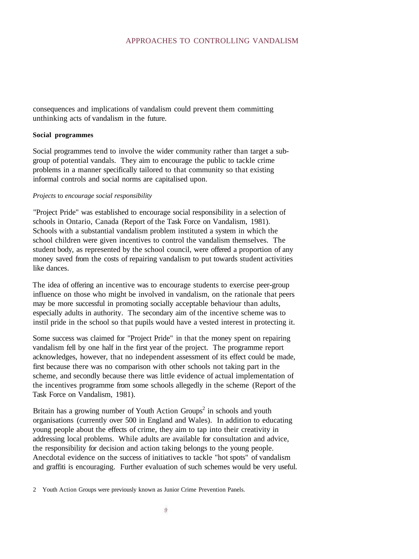consequences and implications of vandalism could prevent them committing unthinking acts of vandalism in the future.

#### **Social programmes**

Social programmes tend to involve the wider community rather than target a subgroup of potential vandals. They aim to encourage the public to tackle crime problems in a manner specifically tailored to that community so that existing informal controls and social norms are capitalised upon.

#### *Projects* to *encourage social responsibility*

"Project Pride" was established to encourage social responsibility in a selection of schools in Ontario, Canada (Report of the Task Force on Vandalism, 1981). Schools with a substantial vandalism problem instituted a system in which the school children were given incentives to control the vandalism themselves. The student body, as represented by the school council, were offered a proportion of any money saved from the costs of repairing vandalism to put towards student activities like dances.

The idea of offering an incentive was to encourage students to exercise peer-group influence on those who might be involved in vandalism, on the rationale that peers may be more successful in promoting socially acceptable behaviour than adults, especially adults in authority. The secondary aim of the incentive scheme was to instil pride in the school so that pupils would have a vested interest in protecting it.

Some success was claimed for "Project Pride" in that the money spent on repairing vandalism fell by one half in the first year of the project. The programme report acknowledges, however, that no independent assessment of its effect could be made, first because there was no comparison with other schools not taking part in the scheme, and secondly because there was little evidence of actual implementation of the incentives programme from some schools allegedly in the scheme (Report of the Task Force on Vandalism, 1981).

Britain has a growing number of Youth Action Groups<sup>2</sup> in schools and youth organisations (currently over 500 in England and Wales). In addition to educating young people about the effects of crime, they aim to tap into their creativity in addressing local problems. While adults are available for consultation and advice, the responsibility for decision and action taking belongs to the young people. Anecdotal evidence on the success of initiatives to tackle "hot spots" of vandalism and graffiti is encouraging. Further evaluation of such schemes would be very useful.

2 Youth Action Groups were previously known as Junior Crime Prevention Panels.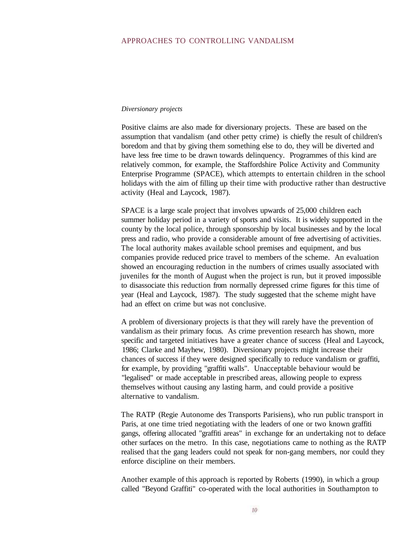#### *Diversionary projects*

Positive claims are also made for diversionary projects. These are based on the assumption that vandalism (and other petty crime) is chiefly the result of children's boredom and that by giving them something else to do, they will be diverted and have less free time to be drawn towards delinquency. Programmes of this kind are relatively common, for example, the Staffordshire Police Activity and Community Enterprise Programme (SPACE), which attempts to entertain children in the school holidays with the aim of filling up their time with productive rather than destructive activity (Heal and Laycock, 1987).

SPACE is a large scale project that involves upwards of 25,000 children each summer holiday period in a variety of sports and visits. It is widely supported in the county by the local police, through sponsorship by local businesses and by the local press and radio, who provide a considerable amount of free advertising of activities. The local authority makes available school premises and equipment, and bus companies provide reduced price travel to members of the scheme. An evaluation showed an encouraging reduction in the numbers of crimes usually associated with juveniles for the month of August when the project is run, but it proved impossible to disassociate this reduction from normally depressed crime figures for this time of year (Heal and Laycock, 1987). The study suggested that the scheme might have had an effect on crime but was not conclusive.

A problem of diversionary projects is that they will rarely have the prevention of vandalism as their primary focus. As crime prevention research has shown, more specific and targeted initiatives have a greater chance of success (Heal and Laycock, 1986; Clarke and Mayhew, 1980). Diversionary projects might increase their chances of success if they were designed specifically to reduce vandalism or graffiti, for example, by providing "graffiti walls". Unacceptable behaviour would be "legalised" or made acceptable in prescribed areas, allowing people to express themselves without causing any lasting harm, and could provide a positive alternative to vandalism.

The RATP (Regie Autonome des Transports Parisiens), who run public transport in Paris, at one time tried negotiating with the leaders of one or two known graffiti gangs, offering allocated "graffiti areas" in exchange for an undertaking not to deface other surfaces on the metro. In this case, negotiations came to nothing as the RATP realised that the gang leaders could not speak for non-gang members, nor could they enforce discipline on their members.

Another example of this approach is reported by Roberts (1990), in which a group called "Beyond Graffiti" co-operated with the local authorities in Southampton to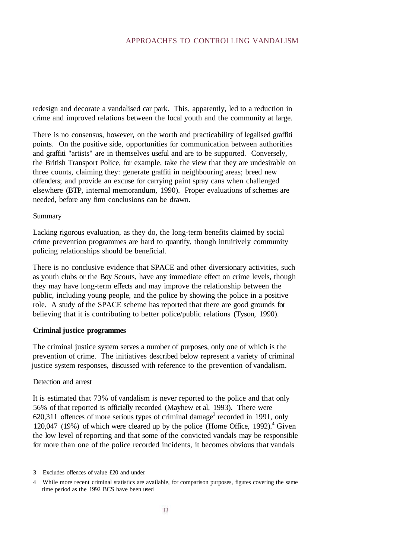redesign and decorate a vandalised car park. This, apparently, led to a reduction in crime and improved relations between the local youth and the community at large.

There is no consensus, however, on the worth and practicability of legalised graffiti points. On the positive side, opportunities for communication between authorities and graffiti "artists" are in themselves useful and are to be supported. Conversely, the British Transport Police, for example, take the view that they are undesirable on three counts, claiming they: generate graffiti in neighbouring areas; breed new offenders; and provide an excuse for carrying paint spray cans when challenged elsewhere (BTP, internal memorandum, 1990). Proper evaluations of schemes are needed, before any firm conclusions can be drawn.

#### Summary

Lacking rigorous evaluation, as they do, the long-term benefits claimed by social crime prevention programmes are hard to quantify, though intuitively community policing relationships should be beneficial.

There is no conclusive evidence that SPACE and other diversionary activities, such as youth clubs or the Boy Scouts, have any immediate effect on crime levels, though they may have long-term effects and may improve the relationship between the public, including young people, and the police by showing the police in a positive role. A study of the SPACE scheme has reported that there are good grounds for believing that it is contributing to better police/public relations (Tyson, 1990).

#### **Criminal justice programmes**

The criminal justice system serves a number of purposes, only one of which is the prevention of crime. The initiatives described below represent a variety of criminal justice system responses, discussed with reference to the prevention of vandalism.

#### Detection and arrest

It is estimated that 73% of vandalism is never reported to the police and that only 56% of that reported is officially recorded (Mayhew et al, 1993). There were  $620,311$  offences of more serious types of criminal damage<sup>3</sup> recorded in 1991, only 120,047 (19%) of which were cleared up by the police (Home Office, 1992). $4$  Given the low level of reporting and that some of the convicted vandals may be responsible for more than one of the police recorded incidents, it becomes obvious that vandals

<sup>3</sup> Excludes offences of value £20 and under

<sup>4</sup> While more recent criminal statistics are available, for comparison purposes, figures covering the same time period as the 1992 BCS have been used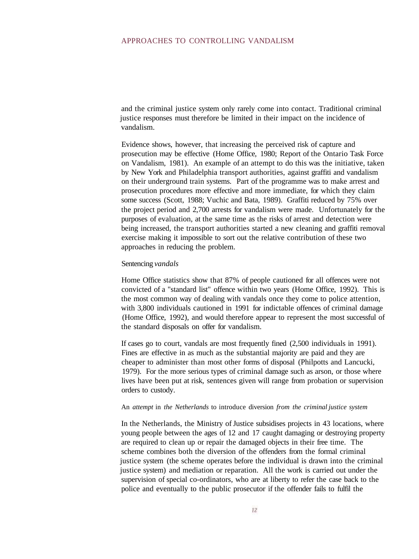and the criminal justice system only rarely come into contact. Traditional criminal justice responses must therefore be limited in their impact on the incidence of vandalism.

Evidence shows, however, that increasing the perceived risk of capture and prosecution may be effective (Home Office, 1980; Report of the Ontario Task Force on Vandalism, 1981). An example of an attempt to do this was the initiative, taken by New York and Philadelphia transport authorities, against graffiti and vandalism on their underground train systems. Part of the programme was to make arrest and prosecution procedures more effective and more immediate, for which they claim some success (Scott, 1988; Vuchic and Bata, 1989). Graffiti reduced by 75% over the project period and 2,700 arrests for vandalism were made. Unfortunately for the purposes of evaluation, at the same time as the risks of arrest and detection were being increased, the transport authorities started a new cleaning and graffiti removal exercise making it impossible to sort out the relative contribution of these two approaches in reducing the problem.

#### Sentencing *vandals*

Home Office statistics show that 87% of people cautioned for all offences were not convicted of a "standard list" offence within two years (Home Office, 1992). This is the most common way of dealing with vandals once they come to police attention, with 3,800 individuals cautioned in 1991 for indictable offences of criminal damage (Home Office, 1992), and would therefore appear to represent the most successful of the standard disposals on offer for vandalism.

If cases go to court, vandals are most frequently fined (2,500 individuals in 1991). Fines are effective in as much as the substantial majority are paid and they are cheaper to administer than most other forms of disposal (Philpotts and Lancucki, 1979). For the more serious types of criminal damage such as arson, or those where lives have been put at risk, sentences given will range from probation or supervision orders to custody.

#### An *attempt* in *the Netherlands* to introduce diversion *from the criminal justice system*

In the Netherlands, the Ministry of Justice subsidises projects in 43 locations, where young people between the ages of 12 and 17 caught damaging or destroying property are required to clean up or repair the damaged objects in their free time. The scheme combines both the diversion of the offenders from the formal criminal justice system (the scheme operates before the individual is drawn into the criminal justice system) and mediation or reparation. All the work is carried out under the supervision of special co-ordinators, who are at liberty to refer the case back to the police and eventually to the public prosecutor if the offender fails to fulfil the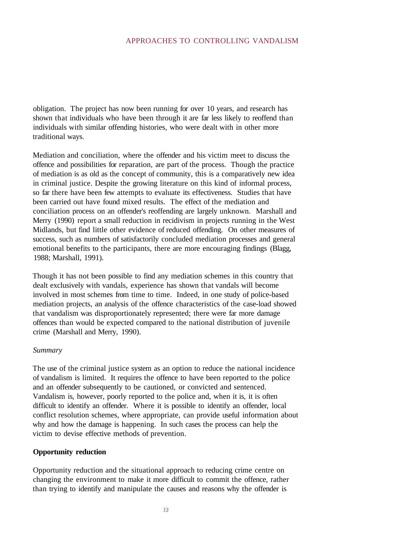obligation. The project has now been running for over 10 years, and research has shown that individuals who have been through it are far less likely to reoffend than individuals with similar offending histories, who were dealt with in other more traditional ways.

Mediation and conciliation, where the offender and his victim meet to discuss the offence and possibilities for reparation, are part of the process. Though the practice of mediation is as old as the concept of community, this is a comparatively new idea in criminal justice. Despite the growing literature on this kind of informal process, so far there have been few attempts to evaluate its effectiveness. Studies that have been carried out have found mixed results. The effect of the mediation and conciliation process on an offender's reoffending are largely unknown. Marshall and Merry (1990) report a small reduction in recidivism in projects running in the West Midlands, but find little other evidence of reduced offending. On other measures of success, such as numbers of satisfactorily concluded mediation processes and general emotional benefits to the participants, there are more encouraging findings (Blagg, 1988; Marshall, 1991).

Though it has not been possible to find any mediation schemes in this country that dealt exclusively with vandals, experience has shown that vandals will become involved in most schemes from time to time. Indeed, in one study of police-based mediation projects, an analysis of the offence characteristics of the case-load showed that vandalism was disproportionately represented; there were far more damage offences than would be expected compared to the national distribution of juvenile crime (Marshall and Merry, 1990).

#### *Summary*

The use of the criminal justice system as an option to reduce the national incidence of vandalism is limited. It requires the offence to have been reported to the police and an offender subsequently to be cautioned, or convicted and sentenced. Vandalism is, however, poorly reported to the police and, when it is, it is often difficult to identify an offender. Where it is possible to identify an offender, local conflict resolution schemes, where appropriate, can provide useful information about why and how the damage is happening. In such cases the process can help the victim to devise effective methods of prevention.

#### **Opportunity reduction**

Opportunity reduction and the situational approach to reducing crime centre on changing the environment to make it more difficult to commit the offence, rather than trying to identify and manipulate the causes and reasons why the offender is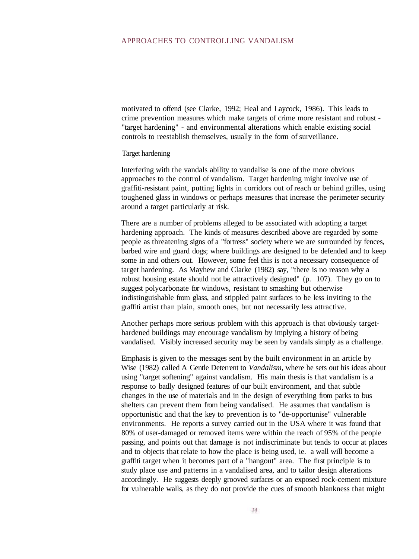motivated to offend (see Clarke, 1992; Heal and Laycock, 1986). This leads to crime prevention measures which make targets of crime more resistant and robust - "target hardening" - and environmental alterations which enable existing social controls to reestablish themselves, usually in the form of surveillance.

#### Target hardening

Interfering with the vandals ability to vandalise is one of the more obvious approaches to the control of vandalism. Target hardening might involve use of graffiti-resistant paint, putting lights in corridors out of reach or behind grilles, using toughened glass in windows or perhaps measures that increase the perimeter security around a target particularly at risk.

There are a number of problems alleged to be associated with adopting a target hardening approach. The kinds of measures described above are regarded by some people as threatening signs of a "fortress" society where we are surrounded by fences, barbed wire and guard dogs; where buildings are designed to be defended and to keep some in and others out. However, some feel this is not a necessary consequence of target hardening. As Mayhew and Clarke (1982) say, "there is no reason why a robust housing estate should not be attractively designed" (p. 107). They go on to suggest polycarbonate for windows, resistant to smashing but otherwise indistinguishable from glass, and stippled paint surfaces to be less inviting to the graffiti artist than plain, smooth ones, but not necessarily less attractive.

Another perhaps more serious problem with this approach is that obviously targethardened buildings may encourage vandalism by implying a history of being vandalised. Visibly increased security may be seen by vandals simply as a challenge.

Emphasis is given to the messages sent by the built environment in an article by Wise (1982) called A Gentle Deterrent to *Vandalism,* where he sets out his ideas about using "target softening" against vandalism. His main thesis is that vandalism is a response to badly designed features of our built environment, and that subtle changes in the use of materials and in the design of everything from parks to bus shelters can prevent them from being vandalised. He assumes that vandalism is opportunistic and that the key to prevention is to "de-opportunise" vulnerable environments. He reports a survey carried out in the USA where it was found that 80% of user-damaged or removed items were within the reach of 95% of the people passing, and points out that damage is not indiscriminate but tends to occur at places and to objects that relate to how the place is being used, ie. a wall will become a graffiti target when it becomes part of a "hangout" area. The first principle is to study place use and patterns in a vandalised area, and to tailor design alterations accordingly. He suggests deeply grooved surfaces or an exposed rock-cement mixture for vulnerable walls, as they do not provide the cues of smooth blankness that might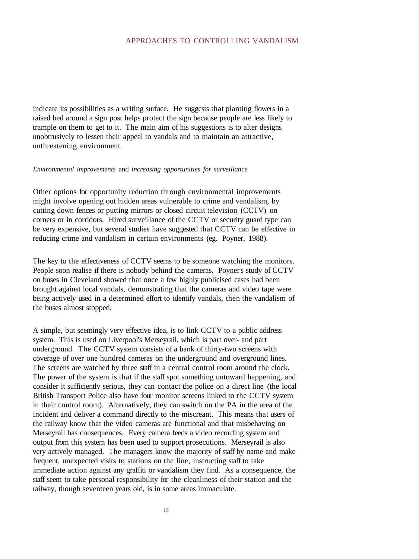indicate its possibilities as a writing surface. He suggests that planting flowers in a raised bed around a sign post helps protect the sign because people are less likely to trample on them to get to it. The main aim of his suggestions is to alter designs unobtrusively to lessen their appeal to vandals and to maintain an attractive, unthreatening environment.

#### *Environmental improvements* and *increasing opportunities for surveillance*

Other options for opportunity reduction through environmental improvements might involve opening out hidden areas vulnerable to crime and vandalism, by cutting down fences or putting mirrors or closed circuit television (CCTV) on corners or in corridors. Hired surveillance of the CCTV or security guard type can be very expensive, but several studies have suggested that CCTV can be effective in reducing crime and vandalism in certain environments (eg. Poyner, 1988).

The key to the effectiveness of CCTV seems to be someone watching the monitors. People soon realise if there is nobody behind the cameras. Poyner's study of CCTV on buses in Cleveland showed that once a few highly publicised cases had been brought against local vandals, demonstrating that the cameras and video tape were being actively used in a determined effort to identify vandals, then the vandalism of the buses almost stopped.

A simple, but seemingly very effective idea, is to link CCTV to a public address system. This is used on Liverpool's Merseyrail, which is part over- and part underground. The CCTV system consists of a bank of thirty-two screens with coverage of over one hundred cameras on the underground and overground lines. The screens are watched by three staff in a central control room around the clock. The power of the system is that if the staff spot something untoward happening, and consider it sufficiently serious, they can contact the police on a direct line (the local British Transport Police also have four monitor screens linked to the CCTV system in their control room). Alternatively, they can switch on the PA in the area of the incident and deliver a command directly to the miscreant. This means that users of the railway know that the video cameras are functional and that misbehaving on Merseyrail has consequences. Every camera feeds a video recording system and output from this system has been used to support prosecutions. Merseyrail is also very actively managed. The managers know the majority of staff by name and make frequent, unexpected visits to stations on the line, instructing staff to take immediate action against any graffiti or vandalism they find. As a consequence, the staff seem to take personal responsibility for the cleanliness of their station and the railway, though seventeen years old, is in some areas immaculate.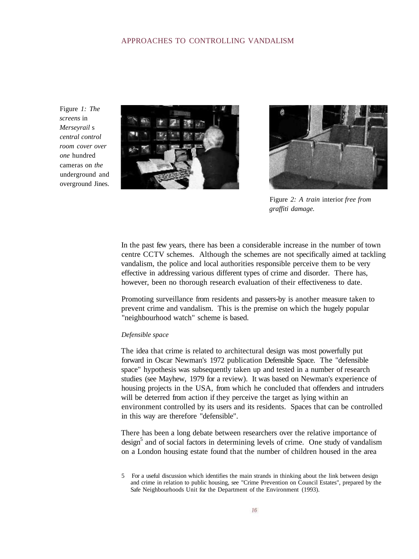Figure *1: The screens* in *Merseyrail* s *central control room cover over one* hundred cameras on *the* underground and overground Jines.





Figure *2: A train* interior *free from graffiti damage.*

In the past few years, there has been a considerable increase in the number of town centre CCTV schemes. Although the schemes are not specifically aimed at tackling vandalism, the police and local authorities responsible perceive them to be very effective in addressing various different types of crime and disorder. There has, however, been no thorough research evaluation of their effectiveness to date.

Promoting surveillance from residents and passers-by is another measure taken to prevent crime and vandalism. This is the premise on which the hugely popular "neighbourhood watch" scheme is based.

#### *Defensible space*

The idea that crime is related to architectural design was most powerfully put forward in Oscar Newman's 1972 publication Defensible Space. The "defensible space" hypothesis was subsequently taken up and tested in a number of research studies (see Mayhew, 1979 for a review). It was based on Newman's experience of housing projects in the USA, from which he concluded that offenders and intruders will be deterred from action if they perceive the target as lying within an environment controlled by its users and its residents. Spaces that can be controlled in this way are therefore "defensible".

There has been a long debate between researchers over the relative importance of design<sup>5</sup> and of social factors in determining levels of crime. One study of vandalism on a London housing estate found that the number of children housed in the area

<sup>5</sup> For a useful discussion which identifies the main strands in thinking about the link between design and crime in relation to public housing, see "Crime Prevention on Council Estates", prepared by the Safe Neighbourhoods Unit for the Department of the Environment (1993).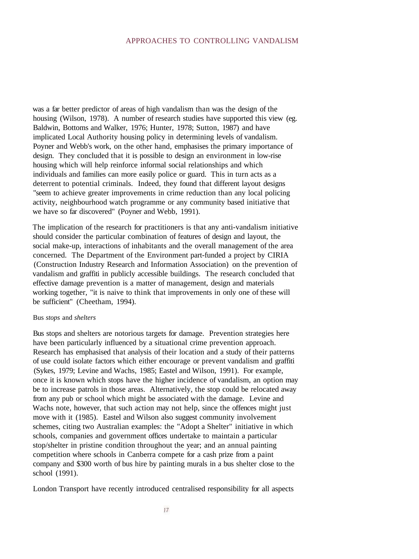was a far better predictor of areas of high vandalism than was the design of the housing (Wilson, 1978). A number of research studies have supported this view (eg. Baldwin, Bottoms and Walker, 1976; Hunter, 1978; Sutton, 1987) and have implicated Local Authority housing policy in determining levels of vandalism. Poyner and Webb's work, on the other hand, emphasises the primary importance of design. They concluded that it is possible to design an environment in low-rise housing which will help reinforce informal social relationships and which individuals and families can more easily police or guard. This in turn acts as a deterrent to potential criminals. Indeed, they found that different layout designs "seem to achieve greater improvements in crime reduction than any local policing activity, neighbourhood watch programme or any community based initiative that we have so far discovered" (Poyner and Webb, 1991).

The implication of the research for practitioners is that any anti-vandalism initiative should consider the particular combination of features of design and layout, the social make-up, interactions of inhabitants and the overall management of the area concerned. The Department of the Environment part-funded a project by CIRIA (Construction Industry Research and Information Association) on the prevention of vandalism and graffiti in publicly accessible buildings. The research concluded that effective damage prevention is a matter of management, design and materials working together, "it is naive to think that improvements in only one of these will be sufficient" (Cheetham, 1994).

#### Bus *stops* and *shelters*

Bus stops and shelters are notorious targets for damage. Prevention strategies here have been particularly influenced by a situational crime prevention approach. Research has emphasised that analysis of their location and a study of their patterns of use could isolate factors which either encourage or prevent vandalism and graffiti (Sykes, 1979; Levine and Wachs, 1985; Eastel and Wilson, 1991). For example, once it is known which stops have the higher incidence of vandalism, an option may be to increase patrols in those areas. Alternatively, the stop could be relocated away from any pub or school which might be associated with the damage. Levine and Wachs note, however, that such action may not help, since the offences might just move with it (1985). Eastel and Wilson also suggest community involvement schemes, citing two Australian examples: the "Adopt a Shelter" initiative in which schools, companies and government offices undertake to maintain a particular stop/shelter in pristine condition throughout the year; and an annual painting competition where schools in Canberra compete for a cash prize from a paint company and \$300 worth of bus hire by painting murals in a bus shelter close to the school (1991).

London Transport have recently introduced centralised responsibility for all aspects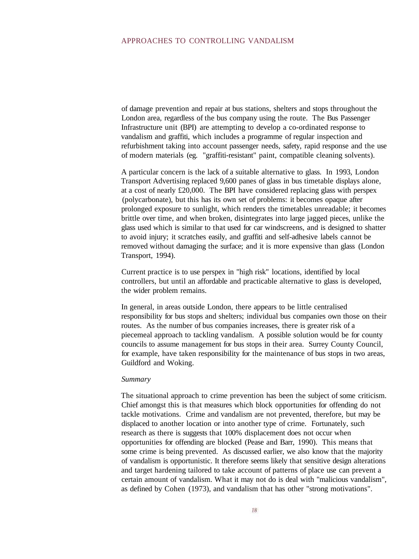of damage prevention and repair at bus stations, shelters and stops throughout the London area, regardless of the bus company using the route. The Bus Passenger Infrastructure unit (BPI) are attempting to develop a co-ordinated response to vandalism and graffiti, which includes a programme of regular inspection and refurbishment taking into account passenger needs, safety, rapid response and the use of modern materials (eg. "graffiti-resistant" paint, compatible cleaning solvents).

A particular concern is the lack of a suitable alternative to glass. In 1993, London Transport Advertising replaced 9,600 panes of glass in bus timetable displays alone, at a cost of nearly £20,000. The BPI have considered replacing glass with perspex (polycarbonate), but this has its own set of problems: it becomes opaque after prolonged exposure to sunlight, which renders the timetables unreadable; it becomes brittle over time, and when broken, disintegrates into large jagged pieces, unlike the glass used which is similar to that used for car windscreens, and is designed to shatter to avoid injury; it scratches easily, and graffiti and self-adhesive labels cannot be removed without damaging the surface; and it is more expensive than glass (London Transport, 1994).

Current practice is to use perspex in "high risk" locations, identified by local controllers, but until an affordable and practicable alternative to glass is developed, the wider problem remains.

In general, in areas outside London, there appears to be little centralised responsibility for bus stops and shelters; individual bus companies own those on their routes. As the number of bus companies increases, there is greater risk of a piecemeal approach to tackling vandalism. A possible solution would be for county councils to assume management for bus stops in their area. Surrey County Council, for example, have taken responsibility for the maintenance of bus stops in two areas, Guildford and Woking.

#### *Summary*

The situational approach to crime prevention has been the subject of some criticism. Chief amongst this is that measures which block opportunities for offending do not tackle motivations. Crime and vandalism are not prevented, therefore, but may be displaced to another location or into another type of crime. Fortunately, such research as there is suggests that 100% displacement does not occur when opportunities for offending are blocked (Pease and Barr, 1990). This means that some crime is being prevented. As discussed earlier, we also know that the majority of vandalism is opportunistic. It therefore seems likely that sensitive design alterations and target hardening tailored to take account of patterns of place use can prevent a certain amount of vandalism. What it may not do is deal with "malicious vandalism", as defined by Cohen (1973), and vandalism that has other "strong motivations".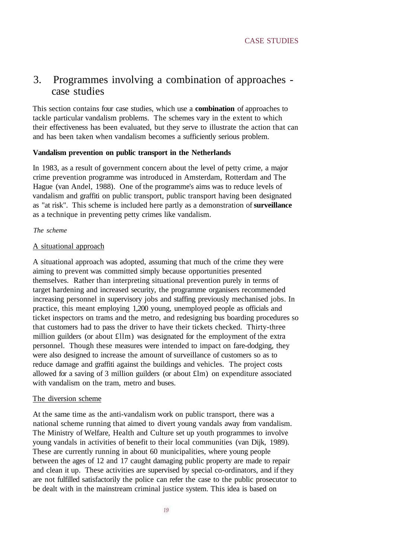### 3. Programmes involving a combination of approaches case studies

This section contains four case studies, which use a **combination** of approaches to tackle particular vandalism problems. The schemes vary in the extent to which their effectiveness has been evaluated, but they serve to illustrate the action that can and has been taken when vandalism becomes a sufficiently serious problem.

#### **Vandalism prevention on public transport in the Netherlands**

In 1983, as a result of government concern about the level of petty crime, a major crime prevention programme was introduced in Amsterdam, Rotterdam and The Hague (van Andel, 1988). One of the programme's aims was to reduce levels of vandalism and graffiti on public transport, public transport having been designated as "at risk". This scheme is included here partly as a demonstration of **surveillance** as a technique in preventing petty crimes like vandalism.

#### *The scheme*

#### A situational approach

A situational approach was adopted, assuming that much of the crime they were aiming to prevent was committed simply because opportunities presented themselves. Rather than interpreting situational prevention purely in terms of target hardening and increased security, the programme organisers recommended increasing personnel in supervisory jobs and staffing previously mechanised jobs. In practice, this meant employing 1,200 young, unemployed people as officials and ticket inspectors on trams and the metro, and redesigning bus boarding procedures so that customers had to pass the driver to have their tickets checked. Thirty-three million guilders (or about £llm) was designated for the employment of the extra personnel. Though these measures were intended to impact on fare-dodging, they were also designed to increase the amount of surveillance of customers so as to reduce damage and graffiti against the buildings and vehicles. The project costs allowed for a saving of 3 million guilders (or about £lm) on expenditure associated with vandalism on the tram, metro and buses.

#### The diversion scheme

At the same time as the anti-vandalism work on public transport, there was a national scheme running that aimed to divert young vandals away from vandalism. The Ministry of Welfare, Health and Culture set up youth programmes to involve young vandals in activities of benefit to their local communities (van Dijk, 1989). These are currently running in about 60 municipalities, where young people between the ages of 12 and 17 caught damaging public property are made to repair and clean it up. These activities are supervised by special co-ordinators, and if they are not fulfilled satisfactorily the police can refer the case to the public prosecutor to be dealt with in the mainstream criminal justice system. This idea is based on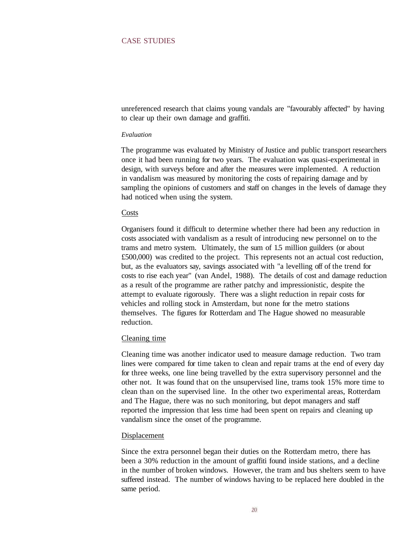#### CASE STUDIES

unreferenced research that claims young vandals are "favourably affected" by having to clear up their own damage and graffiti.

#### *Evaluation*

The programme was evaluated by Ministry of Justice and public transport researchers once it had been running for two years. The evaluation was quasi-experimental in design, with surveys before and after the measures were implemented. A reduction in vandalism was measured by monitoring the costs of repairing damage and by sampling the opinions of customers and staff on changes in the levels of damage they had noticed when using the system.

#### Costs

Organisers found it difficult to determine whether there had been any reduction in costs associated with vandalism as a result of introducing new personnel on to the trams and metro system. Ultimately, the sum of 1.5 million guilders (or about £500,000) was credited to the project. This represents not an actual cost reduction, but, as the evaluators say, savings associated with "a levelling off of the trend for costs to rise each year" (van Andel, 1988). The details of cost and damage reduction as a result of the programme are rather patchy and impressionistic, despite the attempt to evaluate rigorously. There was a slight reduction in repair costs for vehicles and rolling stock in Amsterdam, but none for the metro stations themselves. The figures for Rotterdam and The Hague showed no measurable reduction.

#### Cleaning time

Cleaning time was another indicator used to measure damage reduction. Two tram lines were compared for time taken to clean and repair trams at the end of every day for three weeks, one line being travelled by the extra supervisory personnel and the other not. It was found that on the unsupervised line, trams took 15% more time to clean than on the supervised line. In the other two experimental areas, Rotterdam and The Hague, there was no such monitoring, but depot managers and staff reported the impression that less time had been spent on repairs and cleaning up vandalism since the onset of the programme.

#### Displacement

Since the extra personnel began their duties on the Rotterdam metro, there has been a 30% reduction in the amount of graffiti found inside stations, and a decline in the number of broken windows. However, the tram and bus shelters seem to have suffered instead. The number of windows having to be replaced here doubled in the same period.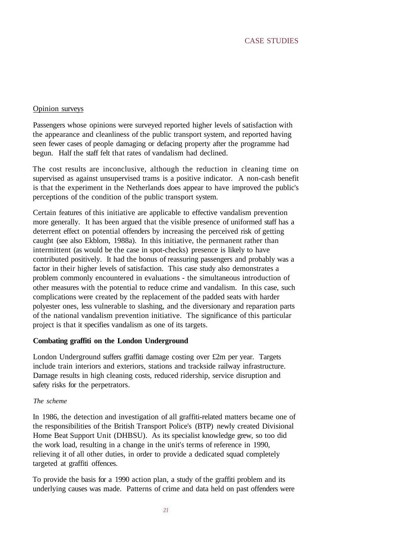#### Opinion surveys

Passengers whose opinions were surveyed reported higher levels of satisfaction with the appearance and cleanliness of the public transport system, and reported having seen fewer cases of people damaging or defacing property after the programme had begun. Half the staff felt that rates of vandalism had declined.

The cost results are inconclusive, although the reduction in cleaning time on supervised as against unsupervised trams is a positive indicator. A non-cash benefit is that the experiment in the Netherlands does appear to have improved the public's perceptions of the condition of the public transport system.

Certain features of this initiative are applicable to effective vandalism prevention more generally. It has been argued that the visible presence of uniformed staff has a deterrent effect on potential offenders by increasing the perceived risk of getting caught (see also Ekblom, 1988a). In this initiative, the permanent rather than intermittent (as would be the case in spot-checks) presence is likely to have contributed positively. It had the bonus of reassuring passengers and probably was a factor in their higher levels of satisfaction. This case study also demonstrates a problem commonly encountered in evaluations - the simultaneous introduction of other measures with the potential to reduce crime and vandalism. In this case, such complications were created by the replacement of the padded seats with harder polyester ones, less vulnerable to slashing, and the diversionary and reparation parts of the national vandalism prevention initiative. The significance of this particular project is that it specifies vandalism as one of its targets.

#### **Combating graffiti on the London Underground**

London Underground suffers graffiti damage costing over £2m per year. Targets include train interiors and exteriors, stations and trackside railway infrastructure. Damage results in high cleaning costs, reduced ridership, service disruption and safety risks for the perpetrators.

#### *The scheme*

In 1986, the detection and investigation of all graffiti-related matters became one of the responsibilities of the British Transport Police's (BTP) newly created Divisional Home Beat Support Unit (DHBSU). As its specialist knowledge grew, so too did the work load, resulting in a change in the unit's terms of reference in 1990, relieving it of all other duties, in order to provide a dedicated squad completely targeted at graffiti offences.

To provide the basis for a 1990 action plan, a study of the graffiti problem and its underlying causes was made. Patterns of crime and data held on past offenders were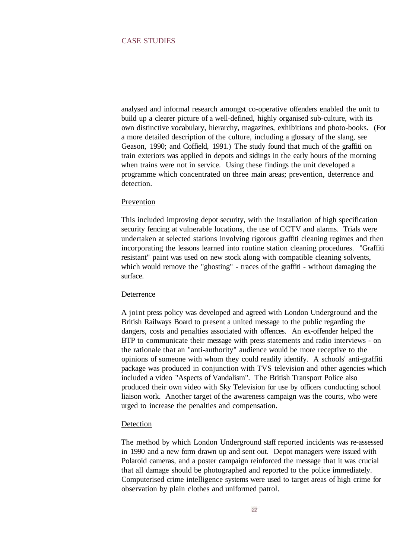analysed and informal research amongst co-operative offenders enabled the unit to build up a clearer picture of a well-defined, highly organised sub-culture, with its own distinctive vocabulary, hierarchy, magazines, exhibitions and photo-books. (For a more detailed description of the culture, including a glossary of the slang, see Geason, 1990; and Coffield, 1991.) The study found that much of the graffiti on train exteriors was applied in depots and sidings in the early hours of the morning when trains were not in service. Using these findings the unit developed a programme which concentrated on three main areas; prevention, deterrence and detection.

#### Prevention

This included improving depot security, with the installation of high specification security fencing at vulnerable locations, the use of CCTV and alarms. Trials were undertaken at selected stations involving rigorous graffiti cleaning regimes and then incorporating the lessons learned into routine station cleaning procedures. "Graffiti resistant" paint was used on new stock along with compatible cleaning solvents, which would remove the "ghosting" - traces of the graffiti - without damaging the surface.

#### Deterrence

A joint press policy was developed and agreed with London Underground and the British Railways Board to present a united message to the public regarding the dangers, costs and penalties associated with offences. An ex-offender helped the BTP to communicate their message with press statements and radio interviews - on the rationale that an "anti-authority" audience would be more receptive to the opinions of someone with whom they could readily identify. A schools' anti-graffiti package was produced in conjunction with TVS television and other agencies which included a video "Aspects of Vandalism". The British Transport Police also produced their own video with Sky Television for use by officers conducting school liaison work. Another target of the awareness campaign was the courts, who were urged to increase the penalties and compensation.

#### Detection

The method by which London Underground staff reported incidents was re-assessed in 1990 and a new form drawn up and sent out. Depot managers were issued with Polaroid cameras, and a poster campaign reinforced the message that it was crucial that all damage should be photographed and reported to the police immediately. Computerised crime intelligence systems were used to target areas of high crime for observation by plain clothes and uniformed patrol.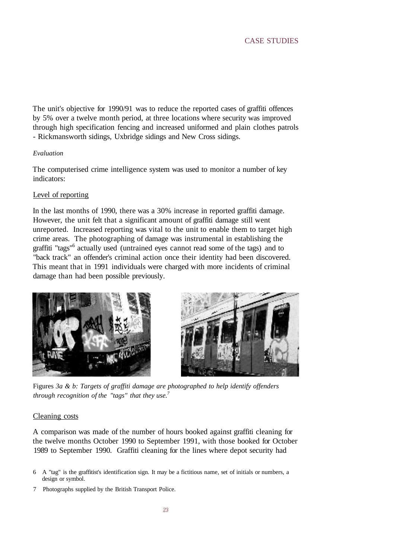The unit's objective for 1990/91 was to reduce the reported cases of graffiti offences by 5% over a twelve month period, at three locations where security was improved through high specification fencing and increased uniformed and plain clothes patrols - Rickmansworth sidings, Uxbridge sidings and New Cross sidings.

#### *Evaluation*

The computerised crime intelligence system was used to monitor a number of key indicators:

#### Level of reporting

In the last months of 1990, there was a 30% increase in reported graffiti damage. However, the unit felt that a significant amount of graffiti damage still went unreported. Increased reporting was vital to the unit to enable them to target high crime areas. The photographing of damage was instrumental in establishing the graffiti "tags"<sup>6</sup> actually used (untrained eyes cannot read some of the tags) and to "back track" an offender's criminal action once their identity had been discovered. This meant that in 1991 individuals were charged with more incidents of criminal damage than had been possible previously.





Figures *3a & b: Targets of graffiti damage are photographed to help identify offenders through recognition of the "tags" that they use. 7*

#### Cleaning costs

A comparison was made of the number of hours booked against graffiti cleaning for the twelve months October 1990 to September 1991, with those booked for October 1989 to September 1990. Graffiti cleaning for the lines where depot security had

- 6 A "tag" is the graffitist's identification sign. It may be a fictitious name, set of initials or numbers, a design or symbol.
- 7 Photographs supplied by the British Transport Police.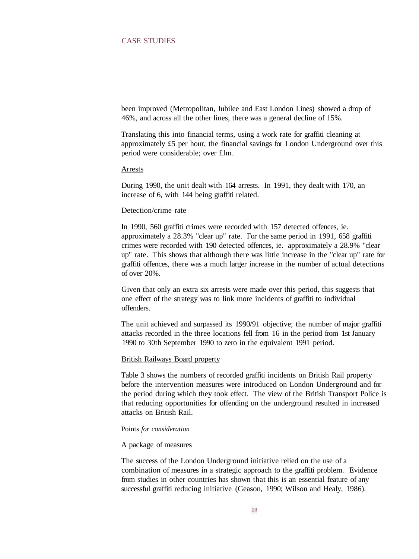#### CASE STUDIES

been improved (Metropolitan, Jubilee and East London Lines) showed a drop of 46%, and across all the other lines, there was a general decline of 15%.

Translating this into financial terms, using a work rate for graffiti cleaning at approximately £5 per hour, the financial savings for London Underground over this period were considerable; over £lm.

#### Arrests

During 1990, the unit dealt with 164 arrests. In 1991, they dealt with 170, an increase of 6, with 144 being graffiti related.

#### Detection/crime rate

In 1990, 560 graffiti crimes were recorded with 157 detected offences, ie. approximately a 28.3% "clear up" rate. For the same period in 1991, 658 graffiti crimes were recorded with 190 detected offences, ie. approximately a 28.9% "clear up" rate. This shows that although there was little increase in the "clear up" rate for graffiti offences, there was a much larger increase in the number of actual detections of over 20%.

Given that only an extra six arrests were made over this period, this suggests that one effect of the strategy was to link more incidents of graffiti to individual offenders.

The unit achieved and surpassed its 1990/91 objective; the number of major graffiti attacks recorded in the three locations fell from 16 in the period from 1st January 1990 to 30th September 1990 to zero in the equivalent 1991 period.

#### British Railways Board property

Table 3 shows the numbers of recorded graffiti incidents on British Rail property before the intervention measures were introduced on London Underground and for the period during which they took effect. The view of the British Transport Police is that reducing opportunities for offending on the underground resulted in increased attacks on British Rail.

#### Points *for consideration*

#### A package of measures

The success of the London Underground initiative relied on the use of a combination of measures in a strategic approach to the graffiti problem. Evidence from studies in other countries has shown that this is an essential feature of any successful graffiti reducing initiative (Geason, 1990; Wilson and Healy, 1986).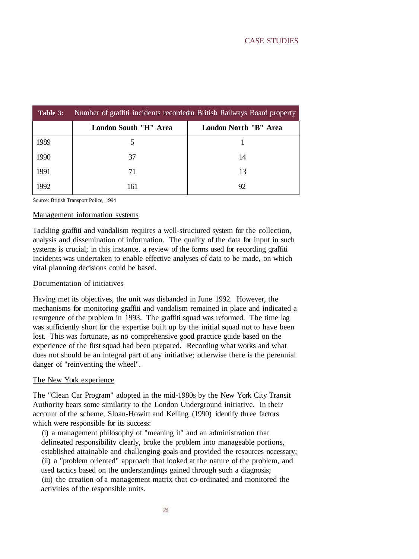| Table 3: | Number of graffiti incidents recorded a British Railways Board property |                       |  |
|----------|-------------------------------------------------------------------------|-----------------------|--|
|          | London South "H" Area                                                   | London North "B" Area |  |
| 1989     |                                                                         |                       |  |
| 1990     | 37                                                                      | 14                    |  |
| 1991     | 71                                                                      | 13                    |  |
| 1992     | 161                                                                     | 92                    |  |

Source: British Transport Police, 1994

#### Management information systems

Tackling graffiti and vandalism requires a well-structured system for the collection, analysis and dissemination of information. The quality of the data for input in such systems is crucial; in this instance, a review of the forms used for recording graffiti incidents was undertaken to enable effective analyses of data to be made, on which vital planning decisions could be based.

#### Documentation of initiatives

Having met its objectives, the unit was disbanded in June 1992. However, the mechanisms for monitoring graffiti and vandalism remained in place and indicated a resurgence of the problem in 1993. The graffiti squad was reformed. The time lag was sufficiently short for the expertise built up by the initial squad not to have been lost. This was fortunate, as no comprehensive good practice guide based on the experience of the first squad had been prepared. Recording what works and what does not should be an integral part of any initiative; otherwise there is the perennial danger of "reinventing the wheel".

#### The New York experience

The "Clean Car Program" adopted in the mid-1980s by the New York City Transit Authority bears some similarity to the London Underground initiative. In their account of the scheme, Sloan-Howitt and Kelling (1990) identify three factors which were responsible for its success:

(i) a management philosophy of "meaning it" and an administration that delineated responsibility clearly, broke the problem into manageable portions, established attainable and challenging goals and provided the resources necessary; (ii) a "problem oriented" approach that looked at the nature of the problem, and used tactics based on the understandings gained through such a diagnosis; (iii) the creation of a management matrix that co-ordinated and monitored the activities of the responsible units.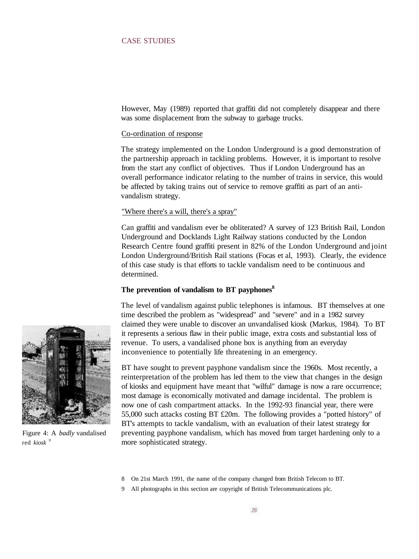#### CASE STUDIES

However, May (1989) reported that graffiti did not completely disappear and there was some displacement from the subway to garbage trucks.

#### Co-ordination of response

The strategy implemented on the London Underground is a good demonstration of the partnership approach in tackling problems. However, it is important to resolve from the start any conflict of objectives. Thus if London Underground has an overall performance indicator relating to the number of trains in service, this would be affected by taking trains out of service to remove graffiti as part of an antivandalism strategy.

#### "Where there's a will, there's a spray"

Can graffiti and vandalism ever be obliterated? A survey of 123 British Rail, London Underground and Docklands Light Railway stations conducted by the London Research Centre found graffiti present in 82% of the London Underground and joint London Underground/British Rail stations (Focas et al, 1993). Clearly, the evidence of this case study is that efforts to tackle vandalism need to be continuous and determined.

#### **The prevention of vandalism to BT payphones<sup>8</sup>**

The level of vandalism against public telephones is infamous. BT themselves at one time described the problem as "widespread" and "severe" and in a 1982 survey claimed they were unable to discover an unvandalised kiosk (Markus, 1984). To BT it represents a serious flaw in their public image, extra costs and substantial loss of revenue. To users, a vandalised phone box is anything from an everyday inconvenience to potentially life threatening in an emergency.

BT have sought to prevent payphone vandalism since the 1960s. Most recently, a reinterpretation of the problem has led them to the view that changes in the design of kiosks and equipment have meant that "wilful" damage is now a rare occurrence; most damage is economically motivated and damage incidental. The problem is now one of cash compartment attacks. In the 1992-93 financial year, there were 55,000 such attacks costing BT £20m. The following provides a "potted history" of BT's attempts to tackle vandalism, with an evaluation of their latest strategy for preventing payphone vandalism, which has moved from target hardening only to a more sophisticated strategy.

- 8 On 21st March 1991, the name of the company changed from British Telecom to BT.
- 9 All photographs in this section are copyright of British Telecommunications plc.



Figure 4: A *badly* vandalised red *kiosk <sup>9</sup>*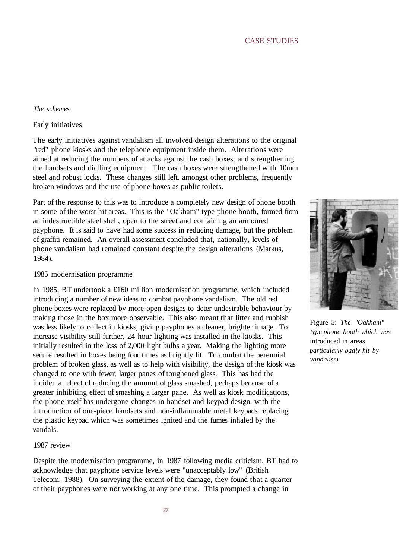#### *The schemes*

#### Early initiatives

The early initiatives against vandalism all involved design alterations to the original "red" phone kiosks and the telephone equipment inside them. Alterations were aimed at reducing the numbers of attacks against the cash boxes, and strengthening the handsets and dialling equipment. The cash boxes were strengthened with 10mm steel and robust locks. These changes still left, amongst other problems, frequently broken windows and the use of phone boxes as public toilets.

Part of the response to this was to introduce a completely new design of phone booth in some of the worst hit areas. This is the "Oakham" type phone booth, formed from an indestructible steel shell, open to the street and containing an armoured payphone. It is said to have had some success in reducing damage, but the problem of graffiti remained. An overall assessment concluded that, nationally, levels of phone vandalism had remained constant despite the design alterations (Markus, 1984).

#### 1985 modernisation programme

In 1985, BT undertook a £160 million modernisation programme, which included introducing a number of new ideas to combat payphone vandalism. The old red phone boxes were replaced by more open designs to deter undesirable behaviour by making those in the box more observable. This also meant that litter and rubbish was less likely to collect in kiosks, giving payphones a cleaner, brighter image. To increase visibility still further, 24 hour lighting was installed in the kiosks. This initially resulted in the loss of 2,000 light bulbs a year. Making the lighting more secure resulted in boxes being four times as brightly lit. To combat the perennial problem of broken glass, as well as to help with visibility, the design of the kiosk was changed to one with fewer, larger panes of toughened glass. This has had the incidental effect of reducing the amount of glass smashed, perhaps because of a greater inhibiting effect of smashing a larger pane. As well as kiosk modifications, the phone itself has undergone changes in handset and keypad design, with the introduction of one-piece handsets and non-inflammable metal keypads replacing the plastic keypad which was sometimes ignited and the fumes inhaled by the vandals.

#### 1987 review

Despite the modernisation programme, in 1987 following media criticism, BT had to acknowledge that payphone service levels were "unacceptably low" (British Telecom, 1988). On surveying the extent of the damage, they found that a quarter of their payphones were not working at any one time. This prompted a change in



Figure 5: *The "Oakham" type phone booth which was* introduced in areas *particularly badly hit by vandalism.*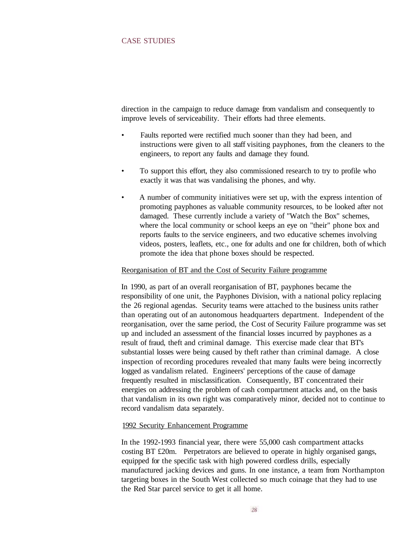#### CASE STUDIES

direction in the campaign to reduce damage from vandalism and consequently to improve levels of serviceability. Their efforts had three elements.

- Faults reported were rectified much sooner than they had been, and instructions were given to all staff visiting payphones, from the cleaners to the engineers, to report any faults and damage they found.
- To support this effort, they also commissioned research to try to profile who exactly it was that was vandalising the phones, and why.
- A number of community initiatives were set up, with the express intention of promoting payphones as valuable community resources, to be looked after not damaged. These currently include a variety of "Watch the Box" schemes, where the local community or school keeps an eye on "their" phone box and reports faults to the service engineers, and two educative schemes involving videos, posters, leaflets, etc., one for adults and one for children, both of which promote the idea that phone boxes should be respected.

#### Reorganisation of BT and the Cost of Security Failure programme

In 1990, as part of an overall reorganisation of BT, payphones became the responsibility of one unit, the Payphones Division, with a national policy replacing the 26 regional agendas. Security teams were attached to the business units rather than operating out of an autonomous headquarters department. Independent of the reorganisation, over the same period, the Cost of Security Failure programme was set up and included an assessment of the financial losses incurred by payphones as a result of fraud, theft and criminal damage. This exercise made clear that BT's substantial losses were being caused by theft rather than criminal damage. A close inspection of recording procedures revealed that many faults were being incorrectly logged as vandalism related. Engineers' perceptions of the cause of damage frequently resulted in misclassification. Consequently, BT concentrated their energies on addressing the problem of cash compartment attacks and, on the basis that vandalism in its own right was comparatively minor, decided not to continue to record vandalism data separately.

#### 1992 Security Enhancement Programme

In the 1992-1993 financial year, there were 55,000 cash compartment attacks costing BT £20m. Perpetrators are believed to operate in highly organised gangs, equipped for the specific task with high powered cordless drills, especially manufactured jacking devices and guns. In one instance, a team from Northampton targeting boxes in the South West collected so much coinage that they had to use the Red Star parcel service to get it all home.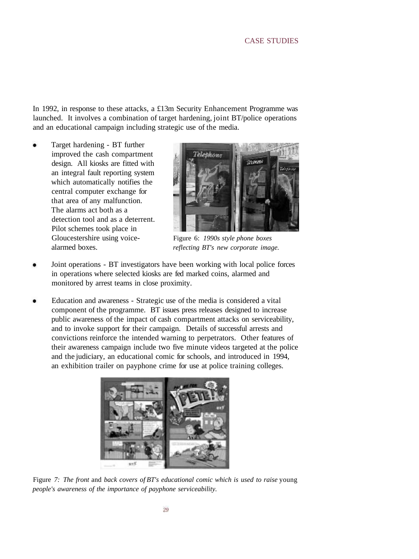In 1992, in response to these attacks, a £13m Security Enhancement Programme was launched. It involves a combination of target hardening, joint BT/police operations and an educational campaign including strategic use of the media.

Target hardening - BT further improved the cash compartment design. All kiosks are fitted with an integral fault reporting system which automatically notifies the central computer exchange for that area of any malfunction. The alarms act both as a detection tool and as a deterrent. Pilot schemes took place in Gloucestershire using voicealarmed boxes.



Figure 6: *1990s style phone boxes reflecting BT's new corporate image.*

- Joint operations BT investigators have been working with local police forces in operations where selected kiosks are fed marked coins, alarmed and monitored by arrest teams in close proximity.
- Education and awareness Strategic use of the media is considered a vital component of the programme. BT issues press releases designed to increase public awareness of the impact of cash compartment attacks on serviceability, and to invoke support for their campaign. Details of successful arrests and convictions reinforce the intended warning to perpetrators. Other features of their awareness campaign include two five minute videos targeted at the police and the judiciary, an educational comic for schools, and introduced in 1994, an exhibition trailer on payphone crime for use at police training colleges.



Figure *7: The front* and *back covers of BT's educational comic which is used to raise* young *people's awareness of the importance of payphone serviceability.*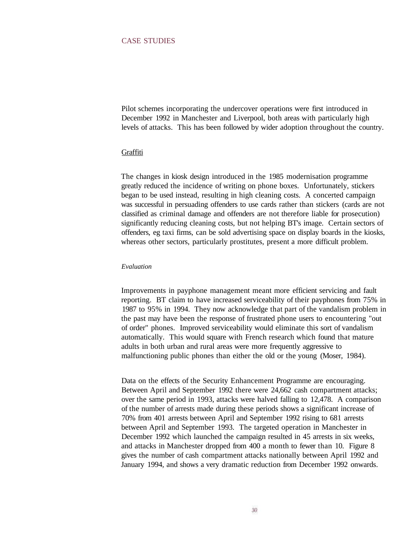Pilot schemes incorporating the undercover operations were first introduced in December 1992 in Manchester and Liverpool, both areas with particularly high levels of attacks. This has been followed by wider adoption throughout the country.

#### Graffiti

The changes in kiosk design introduced in the 1985 modernisation programme greatly reduced the incidence of writing on phone boxes. Unfortunately, stickers began to be used instead, resulting in high cleaning costs. A concerted campaign was successful in persuading offenders to use cards rather than stickers (cards are not classified as criminal damage and offenders are not therefore liable for prosecution) significantly reducing cleaning costs, but not helping BT's image. Certain sectors of offenders, eg taxi firms, can be sold advertising space on display boards in the kiosks, whereas other sectors, particularly prostitutes, present a more difficult problem.

#### *Evaluation*

Improvements in payphone management meant more efficient servicing and fault reporting. BT claim to have increased serviceability of their payphones from 75% in 1987 to 95% in 1994. They now acknowledge that part of the vandalism problem in the past may have been the response of frustrated phone users to encountering "out of order" phones. Improved serviceability would eliminate this sort of vandalism automatically. This would square with French research which found that mature adults in both urban and rural areas were more frequently aggressive to malfunctioning public phones than either the old or the young (Moser, 1984).

Data on the effects of the Security Enhancement Programme are encouraging. Between April and September 1992 there were 24,662 cash compartment attacks; over the same period in 1993, attacks were halved falling to 12,478. A comparison of the number of arrests made during these periods shows a significant increase of 70% from 401 arrests between April and September 1992 rising to 681 arrests between April and September 1993. The targeted operation in Manchester in December 1992 which launched the campaign resulted in 45 arrests in six weeks, and attacks in Manchester dropped from 400 a month to fewer than 10. Figure 8 gives the number of cash compartment attacks nationally between April 1992 and January 1994, and shows a very dramatic reduction from December 1992 onwards.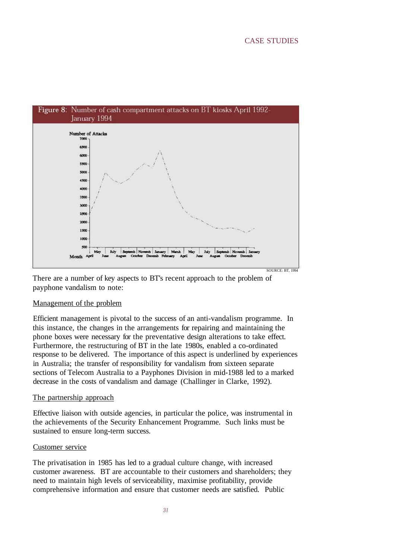

There are a number of key aspects to BT's recent approach to the problem of payphone vandalism to note:

#### Management of the problem

Efficient management is pivotal to the success of an anti-vandalism programme. In this instance, the changes in the arrangements for repairing and maintaining the phone boxes were necessary for the preventative design alterations to take effect. Furthermore, the restructuring of BT in the late 1980s, enabled a co-ordinated response to be delivered. The importance of this aspect is underlined by experiences in Australia; the transfer of responsibility for vandalism from sixteen separate sections of Telecom Australia to a Payphones Division in mid-1988 led to a marked decrease in the costs of vandalism and damage (Challinger in Clarke, 1992).

#### The partnership approach

Effective liaison with outside agencies, in particular the police, was instrumental in the achievements of the Security Enhancement Programme. Such links must be sustained to ensure long-term success.

#### Customer service

The privatisation in 1985 has led to a gradual culture change, with increased customer awareness. BT are accountable to their customers and shareholders; they need to maintain high levels of serviceability, maximise profitability, provide comprehensive information and ensure that customer needs are satisfied. Public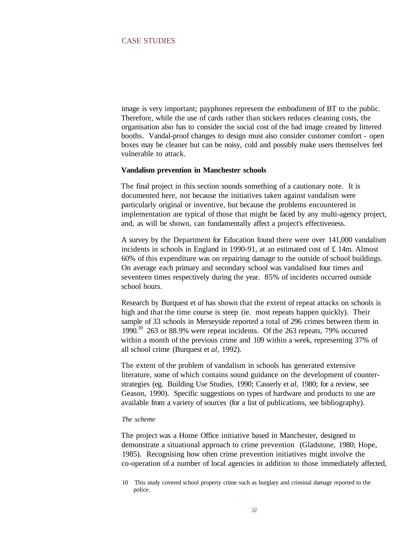image is very important; payphones represent the embodiment of BT to the public. Therefore, while the use of cards rather than stickers reduces cleaning costs, the organisation also has to consider the social cost of the bad image created by littered booths. Vandal-proof changes to design must also consider customer comfort - open boxes may be cleaner but can be noisy, cold and possibly make users themselves feel vulnerable to attack.

#### **Vandalism prevention in Manchester schools**

The final project in this section sounds something of a cautionary note. It is documented here, not because the initiatives taken against vandalism were particularly original or inventive, but because the problems encountered in implementation are typical of those that might be faced by any multi-agency project, and, as will be shown, can fundamentally affect a project's effectiveness.

A survey by the Department for Education found there were over 141,000 vandalism incidents in schools in England in 1990-91, at an estimated cost of  $\pounds$  14m. Almost 60% of this expenditure was on repairing damage to the outside of school buildings. On average each primary and secondary school was vandalised four times and seventeen times respectively during the year. 85% of incidents occurred outside school hours.

Research by Burquest et *al* has shown that the extent of repeat attacks on schools is high and that the time course is steep (ie. most repeats happen quickly). Their sample of 33 schools in Merseyside reported a total of 296 crimes between them in 1990.<sup>10</sup> 263 or 88.9% were repeat incidents. Of the 263 repeats, 79% occurred within a month of the previous crime and 109 within a week, representing 37% of all school crime (Burquest et *al,* 1992).

The extent of the problem of vandalism in schools has generated extensive literature, some of which contains sound guidance on the development of counterstrategies (eg. Building Use Studies, 1990; Casserly et *al,* 1980; for a review, see Geason, 1990). Specific suggestions on types of hardware and products to use are available from a variety of sources (for a list of publications, see bibliography).

#### *The scheme*

The project was a Home Office initiative based in Manchester, designed to demonstrate a situational approach to crime prevention (Gladstone, 1980; Hope, 1985). Recognising how often crime prevention initiatives might involve the co-operation of a number of local agencies in addition to those immediately affected,

<sup>10</sup> This study covered school property crime such as burglary and criminal damage reported to the police.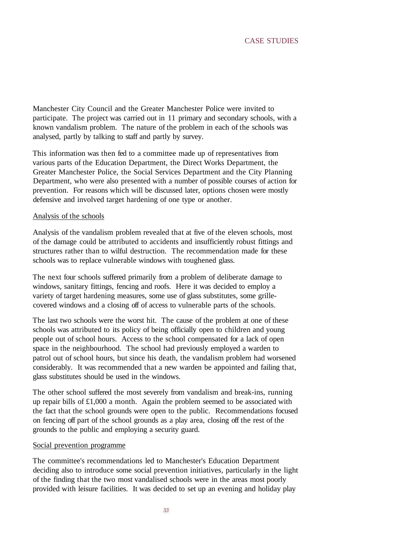Manchester City Council and the Greater Manchester Police were invited to participate. The project was carried out in 11 primary and secondary schools, with a known vandalism problem. The nature of the problem in each of the schools was analysed, partly by talking to staff and partly by survey.

This information was then fed to a committee made up of representatives from various parts of the Education Department, the Direct Works Department, the Greater Manchester Police, the Social Services Department and the City Planning Department, who were also presented with a number of possible courses of action for prevention. For reasons which will be discussed later, options chosen were mostly defensive and involved target hardening of one type or another.

#### Analysis of the schools

Analysis of the vandalism problem revealed that at five of the eleven schools, most of the damage could be attributed to accidents and insufficiently robust fittings and structures rather than to wilful destruction. The recommendation made for these schools was to replace vulnerable windows with toughened glass.

The next four schools suffered primarily from a problem of deliberate damage to windows, sanitary fittings, fencing and roofs. Here it was decided to employ a variety of target hardening measures, some use of glass substitutes, some grillecovered windows and a closing off of access to vulnerable parts of the schools.

The last two schools were the worst hit. The cause of the problem at one of these schools was attributed to its policy of being officially open to children and young people out of school hours. Access to the school compensated for a lack of open space in the neighbourhood. The school had previously employed a warden to patrol out of school hours, but since his death, the vandalism problem had worsened considerably. It was recommended that a new warden be appointed and failing that, glass substitutes should be used in the windows.

The other school suffered the most severely from vandalism and break-ins, running up repair bills of £1,000 a month. Again the problem seemed to be associated with the fact that the school grounds were open to the public. Recommendations focused on fencing off part of the school grounds as a play area, closing off the rest of the grounds to the public and employing a security guard.

#### Social prevention programme

The committee's recommendations led to Manchester's Education Department deciding also to introduce some social prevention initiatives, particularly in the light of the finding that the two most vandalised schools were in the areas most poorly provided with leisure facilities. It was decided to set up an evening and holiday play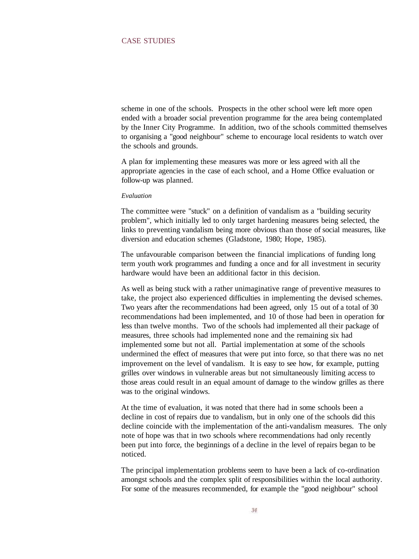scheme in one of the schools. Prospects in the other school were left more open ended with a broader social prevention programme for the area being contemplated by the Inner City Programme. In addition, two of the schools committed themselves to organising a "good neighbour" scheme to encourage local residents to watch over the schools and grounds.

A plan for implementing these measures was more or less agreed with all the appropriate agencies in the case of each school, and a Home Office evaluation or follow-up was planned.

#### *Evaluation*

The committee were "stuck" on a definition of vandalism as a "building security problem", which initially led to only target hardening measures being selected, the links to preventing vandalism being more obvious than those of social measures, like diversion and education schemes (Gladstone, 1980; Hope, 1985).

The unfavourable comparison between the financial implications of funding long term youth work programmes and funding a once and for all investment in security hardware would have been an additional factor in this decision.

As well as being stuck with a rather unimaginative range of preventive measures to take, the project also experienced difficulties in implementing the devised schemes. Two years after the recommendations had been agreed, only 15 out of a total of 30 recommendations had been implemented, and 10 of those had been in operation for less than twelve months. Two of the schools had implemented all their package of measures, three schools had implemented none and the remaining six had implemented some but not all. Partial implementation at some of the schools undermined the effect of measures that were put into force, so that there was no net improvement on the level of vandalism. It is easy to see how, for example, putting grilles over windows in vulnerable areas but not simultaneously limiting access to those areas could result in an equal amount of damage to the window grilles as there was to the original windows.

At the time of evaluation, it was noted that there had in some schools been a decline in cost of repairs due to vandalism, but in only one of the schools did this decline coincide with the implementation of the anti-vandalism measures. The only note of hope was that in two schools where recommendations had only recently been put into force, the beginnings of a decline in the level of repairs began to be noticed.

The principal implementation problems seem to have been a lack of co-ordination amongst schools and the complex split of responsibilities within the local authority. For some of the measures recommended, for example the "good neighbour" school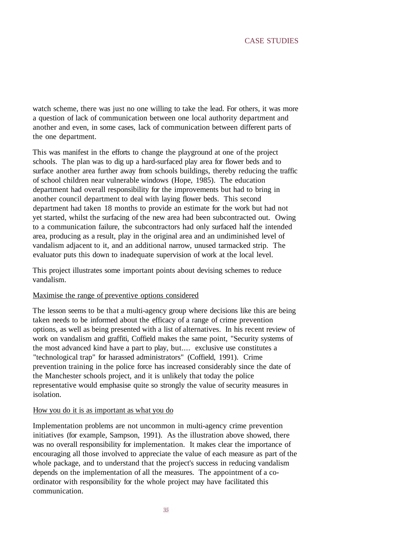watch scheme, there was just no one willing to take the lead. For others, it was more a question of lack of communication between one local authority department and another and even, in some cases, lack of communication between different parts of the one department.

This was manifest in the efforts to change the playground at one of the project schools. The plan was to dig up a hard-surfaced play area for flower beds and to surface another area further away from schools buildings, thereby reducing the traffic of school children near vulnerable windows (Hope, 1985). The education department had overall responsibility for the improvements but had to bring in another council department to deal with laying flower beds. This second department had taken 18 months to provide an estimate for the work but had not yet started, whilst the surfacing of the new area had been subcontracted out. Owing to a communication failure, the subcontractors had only surfaced half the intended area, producing as a result, play in the original area and an undiminished level of vandalism adjacent to it, and an additional narrow, unused tarmacked strip. The evaluator puts this down to inadequate supervision of work at the local level.

This project illustrates some important points about devising schemes to reduce vandalism.

#### Maximise the range of preventive options considered

The lesson seems to be that a multi-agency group where decisions like this are being taken needs to be informed about the efficacy of a range of crime prevention options, as well as being presented with a list of alternatives. In his recent review of work on vandalism and graffiti, Coffield makes the same point, "Security systems of the most advanced kind have a part to play, but.... exclusive use constitutes a "technological trap" for harassed administrators" (Coffield, 1991). Crime prevention training in the police force has increased considerably since the date of the Manchester schools project, and it is unlikely that today the police representative would emphasise quite so strongly the value of security measures in isolation.

#### How you do it is as important as what you do

Implementation problems are not uncommon in multi-agency crime prevention initiatives (for example, Sampson, 1991). As the illustration above showed, there was no overall responsibility for implementation. It makes clear the importance of encouraging all those involved to appreciate the value of each measure as part of the whole package, and to understand that the project's success in reducing vandalism depends on the implementation of all the measures. The appointment of a coordinator with responsibility for the whole project may have facilitated this communication.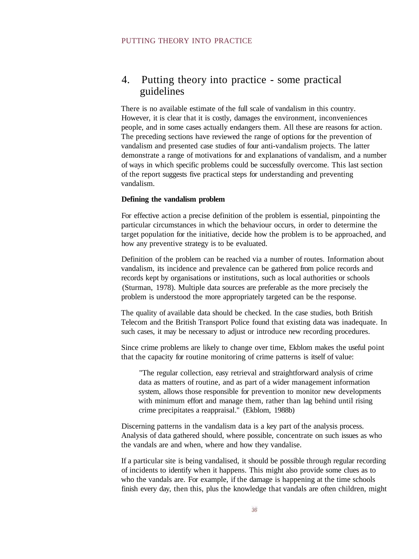### 4. Putting theory into practice - some practical guidelines

There is no available estimate of the full scale of vandalism in this country. However, it is clear that it is costly, damages the environment, inconveniences people, and in some cases actually endangers them. All these are reasons for action. The preceding sections have reviewed the range of options for the prevention of vandalism and presented case studies of four anti-vandalism projects. The latter demonstrate a range of motivations for and explanations of vandalism, and a number of ways in which specific problems could be successfully overcome. This last section of the report suggests five practical steps for understanding and preventing vandalism.

#### **Defining the vandalism problem**

For effective action a precise definition of the problem is essential, pinpointing the particular circumstances in which the behaviour occurs, in order to determine the target population for the initiative, decide how the problem is to be approached, and how any preventive strategy is to be evaluated.

Definition of the problem can be reached via a number of routes. Information about vandalism, its incidence and prevalence can be gathered from police records and records kept by organisations or institutions, such as local authorities or schools (Sturman, 1978). Multiple data sources are preferable as the more precisely the problem is understood the more appropriately targeted can be the response.

The quality of available data should be checked. In the case studies, both British Telecom and the British Transport Police found that existing data was inadequate. In such cases, it may be necessary to adjust or introduce new recording procedures.

Since crime problems are likely to change over time, Ekblom makes the useful point that the capacity for routine monitoring of crime patterns is itself of value:

"The regular collection, easy retrieval and straightforward analysis of crime data as matters of routine, and as part of a wider management information system, allows those responsible for prevention to monitor new developments with minimum effort and manage them, rather than lag behind until rising crime precipitates a reappraisal." (Ekblom, 1988b)

Discerning patterns in the vandalism data is a key part of the analysis process. Analysis of data gathered should, where possible, concentrate on such issues as who the vandals are and when, where and how they vandalise.

If a particular site is being vandalised, it should be possible through regular recording of incidents to identify when it happens. This might also provide some clues as to who the vandals are. For example, if the damage is happening at the time schools finish every day, then this, plus the knowledge that vandals are often children, might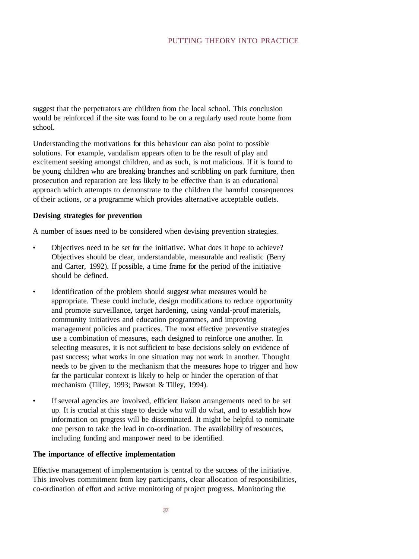#### PUTTING THEORY INTO PRACTICE

suggest that the perpetrators are children from the local school. This conclusion would be reinforced if the site was found to be on a regularly used route home from school.

Understanding the motivations for this behaviour can also point to possible solutions. For example, vandalism appears often to be the result of play and excitement seeking amongst children, and as such, is not malicious. If it is found to be young children who are breaking branches and scribbling on park furniture, then prosecution and reparation are less likely to be effective than is an educational approach which attempts to demonstrate to the children the harmful consequences of their actions, or a programme which provides alternative acceptable outlets.

#### **Devising strategies for prevention**

A number of issues need to be considered when devising prevention strategies.

- Objectives need to be set for the initiative. What does it hope to achieve? Objectives should be clear, understandable, measurable and realistic (Berry and Carter, 1992). If possible, a time frame for the period of the initiative should be defined.
- Identification of the problem should suggest what measures would be appropriate. These could include, design modifications to reduce opportunity and promote surveillance, target hardening, using vandal-proof materials, community initiatives and education programmes, and improving management policies and practices. The most effective preventive strategies use a combination of measures, each designed to reinforce one another. In selecting measures, it is not sufficient to base decisions solely on evidence of past success; what works in one situation may not work in another. Thought needs to be given to the mechanism that the measures hope to trigger and how far the particular context is likely to help or hinder the operation of that mechanism (Tilley, 1993; Pawson & Tilley, 1994).
- If several agencies are involved, efficient liaison arrangements need to be set up. It is crucial at this stage to decide who will do what, and to establish how information on progress will be disseminated. It might be helpful to nominate one person to take the lead in co-ordination. The availability of resources, including funding and manpower need to be identified.

#### **The importance of effective implementation**

Effective management of implementation is central to the success of the initiative. This involves commitment from key participants, clear allocation of responsibilities, co-ordination of effort and active monitoring of project progress. Monitoring the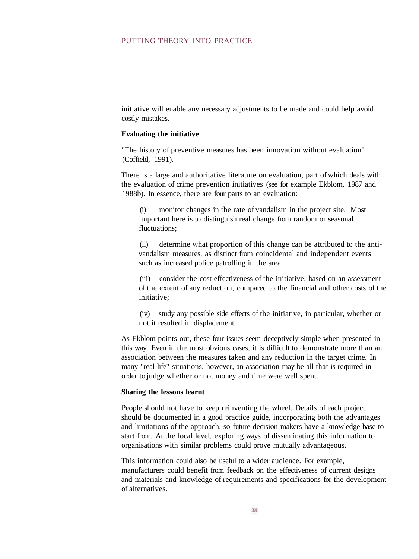#### PUTTING THEORY INTO PRACTICE

initiative will enable any necessary adjustments to be made and could help avoid costly mistakes.

#### **Evaluating the initiative**

"The history of preventive measures has been innovation without evaluation" (Coffield, 1991).

There is a large and authoritative literature on evaluation, part of which deals with the evaluation of crime prevention initiatives (see for example Ekblom, 1987 and 1988b). In essence, there are four parts to an evaluation:

(i) monitor changes in the rate of vandalism in the project site. Most important here is to distinguish real change from random or seasonal fluctuations;

(ii) determine what proportion of this change can be attributed to the antivandalism measures, as distinct from coincidental and independent events such as increased police patrolling in the area;

(iii) consider the cost-effectiveness of the initiative, based on an assessment of the extent of any reduction, compared to the financial and other costs of the initiative;

(iv) study any possible side effects of the initiative, in particular, whether or not it resulted in displacement.

As Ekblom points out, these four issues seem deceptively simple when presented in this way. Even in the most obvious cases, it is difficult to demonstrate more than an association between the measures taken and any reduction in the target crime. In many "real life" situations, however, an association may be all that is required in order to judge whether or not money and time were well spent.

#### **Sharing the lessons learnt**

People should not have to keep reinventing the wheel. Details of each project should be documented in a good practice guide, incorporating both the advantages and limitations of the approach, so future decision makers have a knowledge base to start from. At the local level, exploring ways of disseminating this information to organisations with similar problems could prove mutually advantageous.

This information could also be useful to a wider audience. For example, manufacturers could benefit from feedback on the effectiveness of current designs and materials and knowledge of requirements and specifications for the development of alternatives.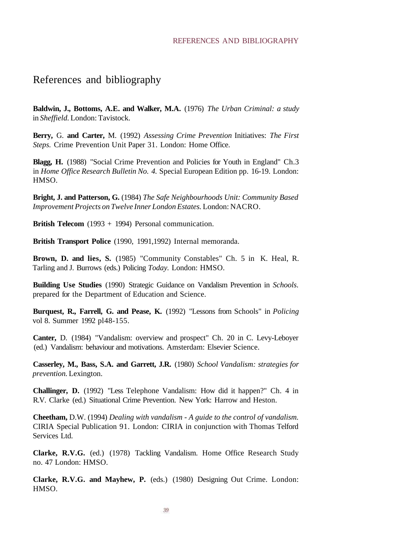#### REFERENCES AND BIBLIOGRAPHY

### References and bibliography

**Baldwin, J., Bottoms, A.E. and Walker, M.A.** (1976) *The Urban Criminal: a study* in *Sheffield.* London: Tavistock.

**Berry,** G. **and Carter,** M. (1992) *Assessing Crime Prevention* Initiatives: *The First Steps.* Crime Prevention Unit Paper 31. London: Home Office.

**Blagg, H.** (1988) "Social Crime Prevention and Policies for Youth in England" Ch.3 in *Home Office Research Bulletin No. 4.* Special European Edition pp. 16-19. London: HMSO.

**Bright, J. and Patterson, G.** (1984) *The Safe Neighbourhoods Unit: Community Based Improvement Projects on Twelve Inner London Estates.* London: NACRO.

**British Telecom** (1993 + 1994) Personal communication.

**British Transport Police** (1990, 1991,1992) Internal memoranda.

**Brown, D. and lies, S.** (1985) "Community Constables" Ch. 5 in K. Heal, R. Tarling and J. Burrows (eds.) Policing *Today.* London: HMSO.

**Building Use Studies** (1990) Strategic Guidance on Vandalism Prevention in *Schools.* prepared for the Department of Education and Science.

**Burquest, R., Farrell, G. and Pease, K.** (1992) "Lessons from Schools" in *Policing* vol 8. Summer 1992 pl48-155.

**Canter,** D. (1984) "Vandalism: overview and prospect" Ch. 20 in C. Levy-Leboyer (ed.) Vandalism: behaviour and motivations. Amsterdam: Elsevier Science.

**Casserley, M., Bass, S.A. and Garrett, J.R.** (1980) *School Vandalism: strategies for prevention.* Lexington.

**Challinger, D.** (1992) "Less Telephone Vandalism: How did it happen?" Ch. 4 in R.V. Clarke (ed.) Situational Crime Prevention. New York: Harrow and Heston.

**Cheetham,** D.W. (1994) *Dealing with vandalism - A guide to the control of vandalism.* CIRIA Special Publication 91. London: CIRIA in conjunction with Thomas Telford Services Ltd.

**Clarke, R.V.G.** (ed.) (1978) Tackling Vandalism. Home Office Research Study no. 47 London: HMSO.

**Clarke, R.V.G. and Mayhew, P.** (eds.) (1980) Designing Out Crime. London: HMSO.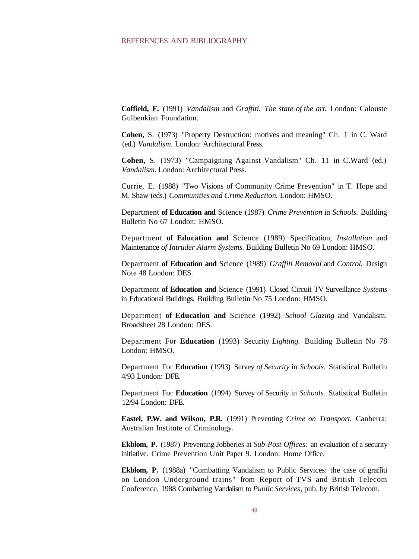#### REFERENCES AND BIBLIOGRAPHY

**Coffield, F.** (1991) *Vandalism* and *Graffiti. The state of the art.* London: Calouste Gulbenkian Foundation.

**Cohen,** S. (1973) "Property Destruction: motives and meaning" Ch. 1 in C. Ward (ed.) *Vandalism.* London: Architectural Press.

**Cohen,** S. (1973) "Campaigning Against Vandalism" Ch. 11 in C.Ward (ed.) *Vandalism.* London: Architectural Press.

Currie, E. (1988) "Two Visions of Community Crime Prevention" in T. Hope and M. Shaw (eds.) *Communities and Crime Reduction.* London: HMSO.

Department **of Education and** Science (1987) *Crime Prevention* in *Schools.* Building Bulletin No 67 London: HMSO.

Department **of Education and** Science (1989) Specification, *Installation* and Maintenance *of Intruder Alarm Systems.* Building Bulletin No 69 London: HMSO.

Department **of Education and** Science (1989) *Graffiti Removal* and *Control.* Design Note 48 London: DES.

Department **of Education and** Science (1991) Closed Circuit TV Surveillance *Systems* in Educational Buildings. Building Bulletin No 75 London: HMSO.

Department **of Education and** Science (1992) *School Glazing* and Vandalism. Broadsheet 28 London: DES.

Department For **Education** (1993) Security *Lighting.* Building Bulletin No 78 London: HMSO.

Department For **Education** (1993) Survey *of Security* in *Schools.* Statistical Bulletin 4/93 London: DFE.

Department For **Education** (1994) Survey of Security in *Schools.* Statistical Bulletin 12/94 London: DFE.

**Eastel, P.W. and Wilson, P.R.** (1991) Preventing *Crime on Transport.* Canberra: Australian Institute of Criminology.

**Ekblom, P.** (1987) Preventing Jobberies at *Sub-Post Offices:* an evaluation of a security initiative. Crime Prevention Unit Paper 9. London: Home Office.

**Ekblom, P.** (1988a) "Combatting Vandalism to Public Services: the case of graffiti on London Underground trains" from Report of TVS and British Telecom Conference, 1988 Combatting Vandalism to *Public Services,* pub. by British Telecom.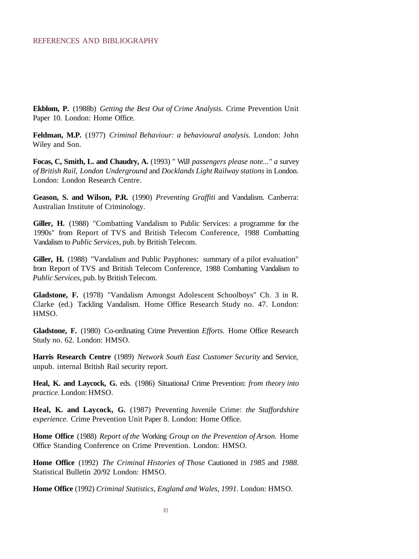**Ekblom, P.** (1988b) *Getting the Best Out of Crime Analysis.* Crime Prevention Unit Paper 10. London: Home Office.

**Feldman, M.P.** (1977) *Criminal Behaviour: a behavioural analysis.* London: John Wiley and Son.

Focas, C, Smith, L. and Chaudry, A. (1993) " WiJJ passengers please note..." a survey *of British Rail, London Underground* and *Docklands Light Railway stations* in London. London: London Research Centre.

**Geason, S. and Wilson, P.R.** (1990) *Preventing Graffiti* and Vandalism. Canberra: Australian Institute of Criminology.

**Giller, H.** (1988) "Combatting Vandalism to Public Services: a programme for the 1990s" from Report of TVS and British Telecom Conference, 1988 Combatting Vandalism to *Public Services,* pub. by British Telecom.

**Giller, H.** (1988) "Vandalism and Public Payphones: summary of a pilot evaluation" from Report of TVS and British Telecom Conference, 1988 Combatting Vandalism to *Public Services,* pub. by British Telecom.

**Gladstone, F.** (1978) "Vandalism Amongst Adolescent Schoolboys" Ch. 3 in R. Clarke (ed.) Tackling Vandalism. Home Office Research Study no. 47. London: HMSO.

**Gladstone, F.** (1980) Co-ordinating Crime Prevention *Efforts.* Home Office Research Study no. 62. London: HMSO.

**Harris Research Centre** (1989) *Network South East Customer Security* and Service, unpub. internal British Rail security report.

**Heal, K. and Laycock, G.** eds. (1986) SituationaJ Crime Prevention: *from theory into practice.* London: HMSO.

**Heal, K. and Laycock, G.** (1987) Preventing Juvenile Crime: *the Staffordshire experience.* Crime Prevention Unit Paper 8. London: Home Office.

**Home Office** (1988) *Report of the* Working *Group on the Prevention of Arson.* Home Office Standing Conference on Crime Prevention. London: HMSO.

**Home Office** (1992) *The Criminal Histories of Those* Cautioned in *1985* and *1988.* Statistical Bulletin 20/92 London: HMSO.

**Home Office** (1992) *Criminal Statistics, England and Wales, 1991.* London: HMSO.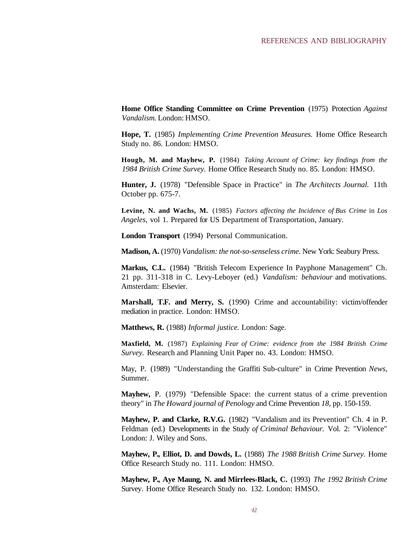**Home Office Standing Committee on Crime Prevention** (1975) Protection *Against Vandalism.* London: HMSO.

**Hope, T.** (1985) *Implementing Crime Prevention Measures.* Home Office Research Study no. 86. London: HMSO.

**Hough, M. and Mayhew, P.** (1984) *Taking Account of Crime: key findings from the 1984 British Crime Survey.* Home Office Research Study no. 85. London: HMSO.

**Hunter, J.** (1978) "Defensible Space in Practice" in *The Architects Journal.* 11th October pp. 675-7.

**Levine, N. and Wachs, M.** (1985) *Factors affecting the Incidence of Bus Crime* in *Los Angeles,* vol 1. Prepared for US Department of Transportation, January.

**London Transport** (1994) Personal Communication.

**Madison, A.** (1970) *Vandalism: the not-so-senseless crime.* New York: Seabury Press.

**Markus, C.L.** (1984) "British Telecom Experience In Payphone Management" Ch. 21 pp. 311-318 in C. Levy-Leboyer (ed.) *Vandalism: behaviour* and motivations. Amsterdam: Elsevier.

**Marshall, T.F. and Merry, S.** (1990) Crime and accountability: victim/offender mediation in practice. London: HMSO.

**Matthews, R.** (1988) *Informal justice.* London: Sage.

**Maxfield, M.** (1987) *Explaining Fear of Crime: evidence from the 1984 British Crime Survey.* Research and Planning Unit Paper no. 43. London: HMSO.

May, P. (1989) "Understanding the Graffiti Sub-culture" in Crime Prevention *News,* Summer.

**Mayhew,** P. (1979) "Defensible Space: the current status of a crime prevention theory" in *The Howard journal of Penology* and Crime Prevention *18,* pp. 150-159.

**Mayhew, P. and Clarke, R.V.G.** (1982) "Vandalism and its Prevention" Ch. 4 in P. Feldman (ed.) Developments in the Study *of Criminal Behaviour.* Vol. 2: "Violence" London: J. Wiley and Sons.

**Mayhew, P., Elliot, D. and Dowds, L.** (1988) *The 1988 British Crime Survey.* Home Office Research Study no. 111. London: HMSO.

**Mayhew, P., Aye Maung, N. and Mirrlees-Black, C.** (1993) *The 1992 British Crime* Survey. Home Office Research Study no. 132. London: HMSO.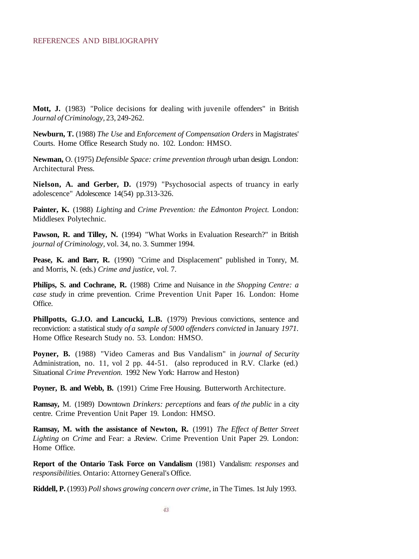**Mott, J.** (1983) "Police decisions for dealing with juvenile offenders" in British *Journal of Criminology,* 23, 249-262.

**Newburn, T.** (1988) *The Use* and *Enforcement of Compensation Orders* in Magistrates' Courts. Home Office Research Study no. 102. London: HMSO.

**Newman,** O. (1975) *Defensible Space: crime prevention through* urban design. London: Architectural Press.

**Nielson, A. and Gerber, D.** (1979) "Psychosocial aspects of truancy in early adolescence" Adolescence 14(54) pp.313-326.

**Painter, K.** (1988) *Lighting* and *Crime Prevention: the Edmonton Project.* London: Middlesex Polytechnic.

**Pawson, R. and Tilley, N.** (1994) "What Works in Evaluation Research?" in British *journal of Criminology,* vol. 34, no. 3. Summer 1994.

**Pease, K. and Barr, R.** (1990) "Crime and Displacement" published in Tonry, M. and Morris, N. (eds.) *Crime and justice,* vol. 7.

**Philips, S. and Cochrane, R.** (1988) Crime and Nuisance in *the Shopping Centre: a case study* in crime prevention. Crime Prevention Unit Paper 16. London: Home Office.

**Phillpotts, G.J.O. and Lancucki, L.B.** (1979) Previous convictions, sentence and reconviction: a statistical study *of a sample of 5000 offenders convicted* in January *1971.* Home Office Research Study no. 53. London: HMSO.

**Poyner, B.** (1988) "Video Cameras and Bus Vandalism" in *journal of Security* Administration, no. 11, vol 2 pp. 44-51. (also reproduced in R.V. Clarke (ed.) Situational *Crime Prevention.* 1992 New York: Harrow and Heston)

**Poyner, B. and Webb, B.** (1991) Crime Free Housing. Butterworth Architecture.

**Ramsay,** M. (1989) Downtown *Drinkers: perceptions* and fears *of the public* in a city centre. Crime Prevention Unit Paper 19. London: HMSO.

**Ramsay, M. with the assistance of Newton, R.** (1991) *The Effect of Better Street Lighting on Crime* and Fear: a .Review. Crime Prevention Unit Paper 29. London: Home Office.

**Report of the Ontario Task Force on Vandalism** (1981) Vandalism: *responses* and *responsibilities.* Ontario: Attorney General's Office.

**Riddell, P.** (1993) *Poll shows growing concern over crime,* in The Times. 1st July 1993.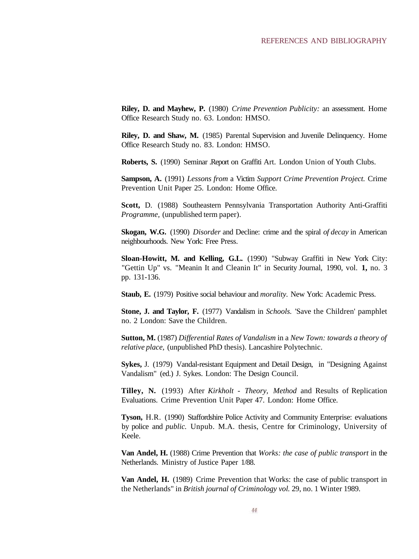**Riley, D. and Mayhew, P.** (1980) *Crime Prevention Publicity:* an assessment. Home Office Research Study no. 63. London: HMSO.

**Riley, D. and Shaw, M.** (1985) Parental Supervision and Juvenile Delinquency. Home Office Research Study no. 83. London: HMSO.

**Roberts, S.** (1990) Seminar .Report on Graffiti Art. London Union of Youth Clubs.

**Sampson, A.** (1991) *Lessons from* a Victim *Support Crime Prevention Project.* Crime Prevention Unit Paper 25. London: Home Office.

**Scott,** D. (1988) Southeastern Pennsylvania Transportation Authority Anti-Graffiti *Programme,* (unpublished term paper).

**Skogan, W.G.** (1990) *Disorder* and Decline: crime and the spiral *of decay* in American neighbourhoods. New York: Free Press.

**Sloan-Howitt, M. and Kelling, G.L.** (1990) "Subway Graffiti in New York City: "Gettin Up" vs. "Meanin It and Cleanin It" in Security Journal, 1990, vol. **1,** no. 3 pp. 131-136.

**Staub, E.** (1979) Positive social behaviour and *morality.* New York: Academic Press.

**Stone, J. and Taylor, F.** (1977) Vandalism in *Schools.* 'Save the Children' pamphlet no. 2 London: Save the Children.

**Sutton, M.** (1987) *Differential Rates of Vandalism* in a *New Town: towards a theory of relative place,* (unpublished PhD thesis). Lancashire Polytechnic.

**Sykes,** J. (1979) Vandal-resistant Equipment and Detail Design, in "Designing Against Vandalism" (ed.) J. Sykes. London: The Design Council.

**Tilley, N.** (1993) After *Kirkholt - Theory, Method* and Results of Replication Evaluations. Crime Prevention Unit Paper 47. London: Home Office.

**Tyson,** H.R. (1990) Staffordshire Police Activity and Community Enterprise: evaluations by police and *public.* Unpub. M.A. thesis, Centre for Criminology, University of Keele.

**Van Andel, H.** (1988) Crime Prevention that *Works: the case of public transport* in the Netherlands. Ministry of Justice Paper 1/88.

**Van Andel, H.** (1989) Crime Prevention that Works: the case of public transport in the Netherlands" in *British journal of Criminology vol.* 29, no. 1 Winter 1989.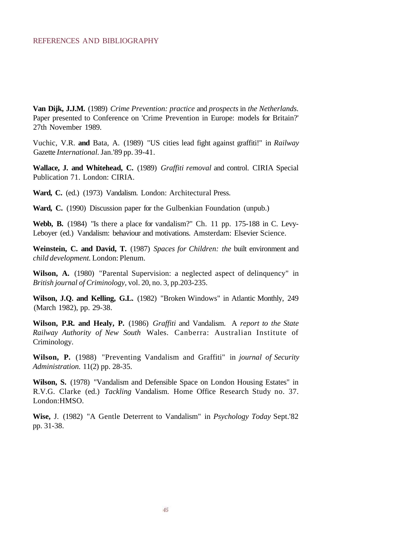**Van Dijk, J.J.M.** (1989) *Crime Prevention: practice* and *prospects* in *the Netherlands.* Paper presented to Conference on 'Crime Prevention in Europe: models for Britain?' 27th November 1989.

Vuchic, V.R. **and** Bata, A. (1989) "US cities lead fight against graffiti!" in *Railway* Gazette *International.* Jan.'89 pp. 39-41.

**Wallace, J. and Whitehead, C.** (1989) *Graffiti removal* and control. CIRIA Special Publication 71. London: CIRIA.

**Ward, C.** (ed.) (1973) Vandalism. London: Architectural Press.

**Ward, C.** (1990) Discussion paper for the Gulbenkian Foundation (unpub.)

**Webb, B.** (1984) "Is there a place for vandalism?" Ch. 11 pp. 175-188 in C. Levy-Leboyer (ed.) Vandalism: behaviour and motivations. Amsterdam: Elsevier Science.

**Weinstein, C. and David, T.** (1987) *Spaces for Children: the* built environment and *child development.* London: Plenum.

**Wilson, A.** (1980) "Parental Supervision: a neglected aspect of delinquency" in *British journal of Criminology,* vol. 20, no. 3, pp.203-235.

**Wilson, J.Q. and Kelling, G.L.** (1982) "Broken Windows" in Atlantic Monthly, 249 (March 1982), pp. 29-38.

**Wilson, P.R. and Healy, P.** (1986) *Graffiti* and Vandalism. A *report to the State Railway Authority of New South* Wales. Canberra: Australian Institute of Criminology.

**Wilson, P.** (1988) "Preventing Vandalism and Graffiti" in *journal of Security Administration.* 11(2) pp. 28-35.

**Wilson, S.** (1978) "Vandalism and Defensible Space on London Housing Estates" in R.V.G. Clarke (ed.) *Tackling* Vandalism. Home Office Research Study no. 37. London:HMSO.

**Wise,** J. (1982) "A Gentle Deterrent to Vandalism" in *Psychology Today* Sept.'82 pp. 31-38.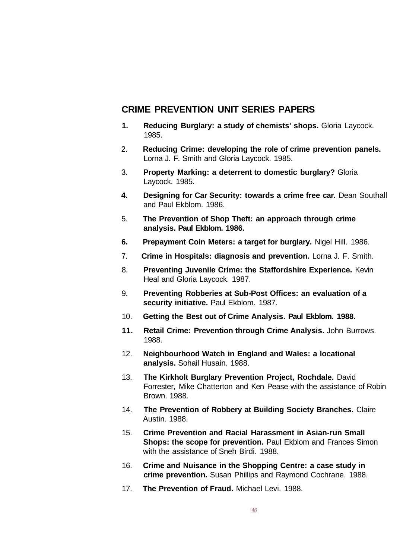### **CRIME PREVENTION UNIT SERIES PAPERS**

- **1. Reducing Burglary: a study of chemists' shops.** Gloria Laycock. 1985.
- 2. **Reducing Crime: developing the role of crime prevention panels.** Lorna J. F. Smith and Gloria Laycock. 1985.
- 3. **Property Marking: a deterrent to domestic burglary?** Gloria Laycock. 1985.
- **4. Designing for Car Security: towards a crime free car.** Dean Southall and Paul Ekblom. 1986.
- 5. **The Prevention of Shop Theft: an approach through crime analysis. Paul Ekblom. 1986.**
- **6. Prepayment Coin Meters: a target for burglary.** Nigel Hill. 1986.
- 7. **Crime in Hospitals: diagnosis and prevention.** Lorna J. F. Smith.
- 8. **Preventing Juvenile Crime: the Staffordshire Experience.** Kevin Heal and Gloria Laycock. 1987.
- 9. **Preventing Robberies at Sub-Post Offices: an evaluation of a security initiative.** Paul Ekblom. 1987.
- 10. **Getting the Best out of Crime Analysis. Paul Ekblom. 1988.**
- **11. Retail Crime: Prevention through Crime Analysis.** John Burrows. 1988.
- 12. **Neighbourhood Watch in England and Wales: a locational analysis.** Sohail Husain. 1988.
- 13. **The Kirkholt Burglary Prevention Project, Rochdale.** David Forrester, Mike Chatterton and Ken Pease with the assistance of Robin Brown. 1988.
- 14. **The Prevention of Robbery at Building Society Branches.** Claire Austin. 1988.
- 15. **Crime Prevention and Racial Harassment in Asian-run Small Shops: the scope for prevention.** Paul Ekblom and Frances Simon with the assistance of Sneh Birdi. 1988.
- 16. **Crime and Nuisance in the Shopping Centre: a case study in crime prevention.** Susan Phillips and Raymond Cochrane. 1988.
- 17. **The Prevention of Fraud.** Michael Levi. 1988.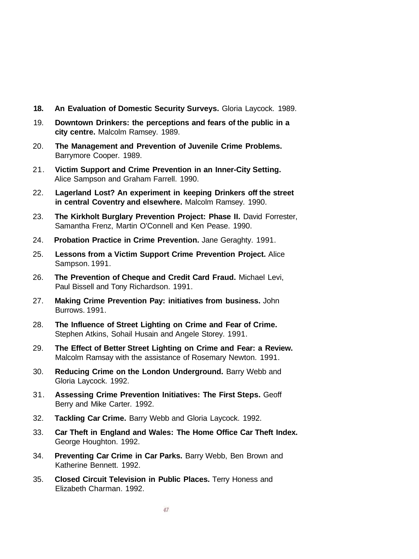- **18. An Evaluation of Domestic Security Surveys.** Gloria Laycock. 1989.
- 19. **Downtown Drinkers: the perceptions and fears of the public in a city centre.** Malcolm Ramsey. 1989.
- 20. **The Management and Prevention of Juvenile Crime Problems.** Barrymore Cooper. 1989.
- 21. **Victim Support and Crime Prevention in an Inner-City Setting.** Alice Sampson and Graham Farrell. 1990.
- 22. **Lagerland Lost? An experiment in keeping Drinkers off the street in central Coventry and elsewhere.** Malcolm Ramsey. 1990.
- 23. **The Kirkholt Burglary Prevention Project: Phase II.** David Forrester, Samantha Frenz, Martin O'Connell and Ken Pease. 1990.
- 24. **Probation Practice in Crime Prevention.** Jane Geraghty. 1991.
- 25. **Lessons from a Victim Support Crime Prevention Project.** Alice Sampson. 1991.
- 26. **The Prevention of Cheque and Credit Card Fraud.** Michael Levi, Paul Bissell and Tony Richardson. 1991.
- 27. **Making Crime Prevention Pay: initiatives from business.** John Burrows. 1991.
- 28. **The Influence of Street Lighting on Crime and Fear of Crime.** Stephen Atkins, Sohail Husain and Angele Storey. 1991.
- 29. **The Effect of Better Street Lighting on Crime and Fear: a Review.** Malcolm Ramsay with the assistance of Rosemary Newton. 1991.
- 30. **Reducing Crime on the London Underground.** Barry Webb and Gloria Laycock. 1992.
- 31. **Assessing Crime Prevention Initiatives: The First Steps.** Geoff Berry and Mike Carter. 1992.
- 32. **Tackling Car Crime.** Barry Webb and Gloria Laycock. 1992.
- 33. **Car Theft in England and Wales: The Home Office Car Theft Index.** George Houghton. 1992.
- 34. **Preventing Car Crime in Car Parks.** Barry Webb, Ben Brown and Katherine Bennett. 1992.
- 35. **Closed Circuit Television in Public Places.** Terry Honess and Elizabeth Charman. 1992.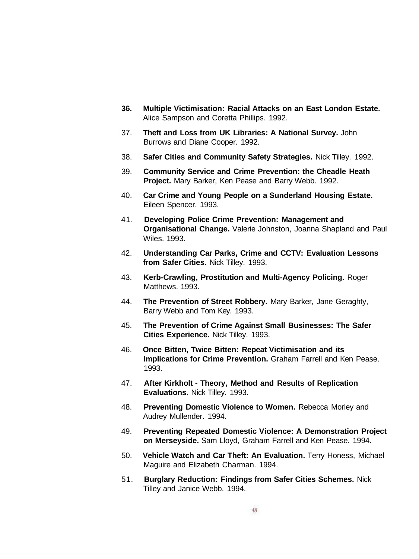- **36. Multiple Victimisation: Racial Attacks on an East London Estate.** Alice Sampson and Coretta Phillips. 1992.
- 37. **Theft and Loss from UK Libraries: A National Survey.** John Burrows and Diane Cooper. 1992.
- 38. **Safer Cities and Community Safety Strategies.** Nick Tilley. 1992.
- 39. **Community Service and Crime Prevention: the Cheadle Heath Project.** Mary Barker, Ken Pease and Barry Webb. 1992.
- 40. **Car Crime and Young People on a Sunderland Housing Estate.** Eileen Spencer. 1993.
- 41. **Developing Police Crime Prevention: Management and Organisational Change.** Valerie Johnston, Joanna Shapland and Paul Wiles. 1993.
- 42. **Understanding Car Parks, Crime and CCTV: Evaluation Lessons from Safer Cities.** Nick Tilley. 1993.
- 43. **Kerb-Crawling, Prostitution and Multi-Agency Policing.** Roger Matthews. 1993.
- 44. **The Prevention of Street Robbery.** Mary Barker, Jane Geraghty, Barry Webb and Tom Key. 1993.
- 45. **The Prevention of Crime Against Small Businesses: The Safer Cities Experience.** Nick Tilley. 1993.
- 46. **Once Bitten, Twice Bitten: Repeat Victimisation and its Implications for Crime Prevention.** Graham Farrell and Ken Pease. 1993.
- 47. **After Kirkholt Theory, Method and Results of Replication Evaluations.** Nick Tilley. 1993.
- 48. **Preventing Domestic Violence to Women.** Rebecca Morley and Audrey Mullender. 1994.
- 49. **Preventing Repeated Domestic Violence: A Demonstration Project on Merseyside.** Sam Lloyd, Graham Farrell and Ken Pease. 1994.
- 50. **Vehicle Watch and Car Theft: An Evaluation.** Terry Honess, Michael Maguire and Elizabeth Charman. 1994.
- 51. **Burglary Reduction: Findings from Safer Cities Schemes.** Nick Tilley and Janice Webb. 1994.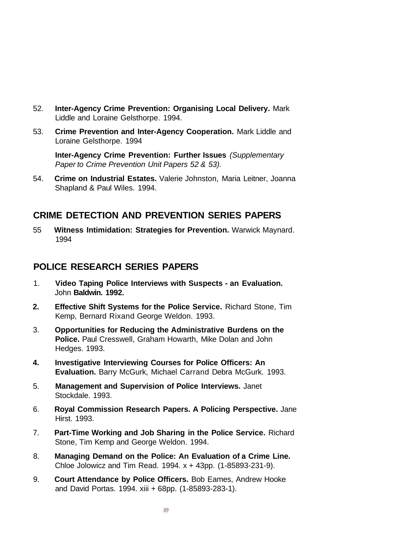- 52. **Inter-Agency Crime Prevention: Organising Local Delivery.** Mark Liddle and Loraine Gelsthorpe. 1994.
- 53. **Crime Prevention and Inter-Agency Cooperation.** Mark Liddle and Loraine Gelsthorpe. 1994

**Inter-Agency Crime Prevention: Further Issues** (Supplementary Paper to Crime Prevention Unit Papers 52 & 53).

54. **Crime on Industrial Estates.** Valerie Johnston, Maria Leitner, Joanna Shapland & Paul Wiles. 1994.

### **CRIME DETECTION AND PREVENTION SERIES PAPERS**

55 **Witness Intimidation: Strategies for Prevention.** Warwick Maynard. 1994

### **POLICE RESEARCH SERIES PAPERS**

- 1. **Video Taping Police Interviews with Suspects an Evaluation.** John **Baldwin. 1992.**
- **2. Effective Shift Systems for the Police Service.** Richard Stone, Tim Kemp, Bernard Rixand George Weldon. 1993.
- 3. **Opportunities for Reducing the Administrative Burdens on the Police.** Paul Cresswell, Graham Howarth, Mike Dolan and John Hedges. 1993.
- **4. Investigative Interviewing Courses for Police Officers: An Evaluation.** Barry McGurk, Michael Carrand Debra McGurk. 1993.
- 5. **Management and Supervision of Police Interviews.** Janet Stockdale. 1993.
- 6. **Royal Commission Research Papers. A Policing Perspective.** Jane Hirst. 1993.
- 7. **Part-Time Working and Job Sharing in the Police Service.** Richard Stone, Tim Kemp and George Weldon. 1994.
- 8. **Managing Demand on the Police: An Evaluation of a Crime Line.** Chloe Jolowicz and Tim Read. 1994. x + 43pp. (1-85893-231-9).
- 9. **Court Attendance by Police Officers.** Bob Eames, Andrew Hooke and David Portas. 1994. xiii + 68pp. (1-85893-283-1).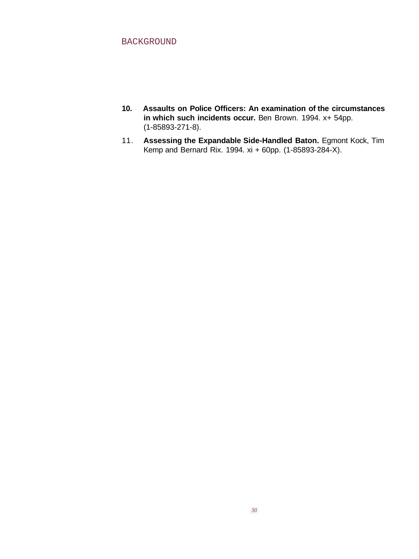- **10. Assaults on Police Officers: An examination of the circumstances in which such incidents occur.** Ben Brown. 1994. x+ 54pp. (1-85893-271-8).
- 11. **Assessing the Expandable Side-Handled Baton.** Egmont Kock, Tim Kemp and Bernard Rix. 1994. xi + 60pp. (1-85893-284-X).